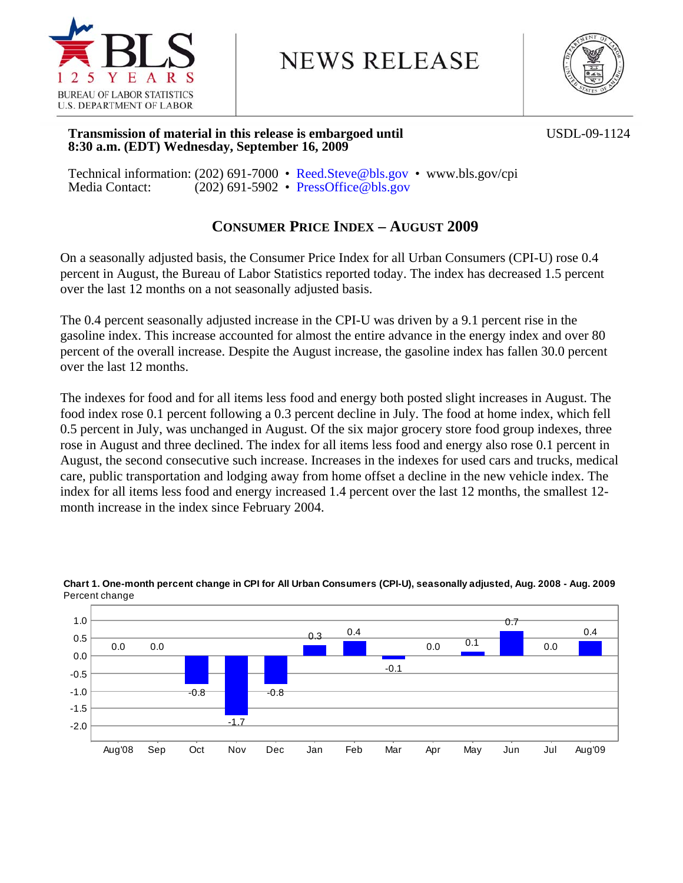

# **NEWS RELEASE**



### **Transmission of material in this release is embargoed until <b>USDL-09-1124 8:30 a.m. (EDT) Wednesday, September 16, 2009**

Technical information: (202) 691-7000 • Reed.Steve@bls.gov • www.bls.gov/cpi Media Contact: (202) 691-5902 • PressOffice@bls.gov

# **CONSUMER PRICE INDEX – AUGUST 2009**

On a seasonally adjusted basis, the Consumer Price Index for all Urban Consumers (CPI-U) rose 0.4 percent in August, the Bureau of Labor Statistics reported today. The index has decreased 1.5 percent over the last 12 months on a not seasonally adjusted basis.

The 0.4 percent seasonally adjusted increase in the CPI-U was driven by a 9.1 percent rise in the gasoline index. This increase accounted for almost the entire advance in the energy index and over 80 percent of the overall increase. Despite the August increase, the gasoline index has fallen 30.0 percent over the last 12 months.

The indexes for food and for all items less food and energy both posted slight increases in August. The food index rose 0.1 percent following a 0.3 percent decline in July. The food at home index, which fell 0.5 percent in July, was unchanged in August. Of the six major grocery store food group indexes, three rose in August and three declined. The index for all items less food and energy also rose 0.1 percent in August, the second consecutive such increase. Increases in the indexes for used cars and trucks, medical care, public transportation and lodging away from home offset a decline in the new vehicle index. The index for all items less food and energy increased 1.4 percent over the last 12 months, the smallest 12 month increase in the index since February 2004.



### **Chart 1. One-month percent change in CPI for All Urban Consumers (CPI-U), seasonally adjusted, Aug. 2008 - Aug. 2009** Percent change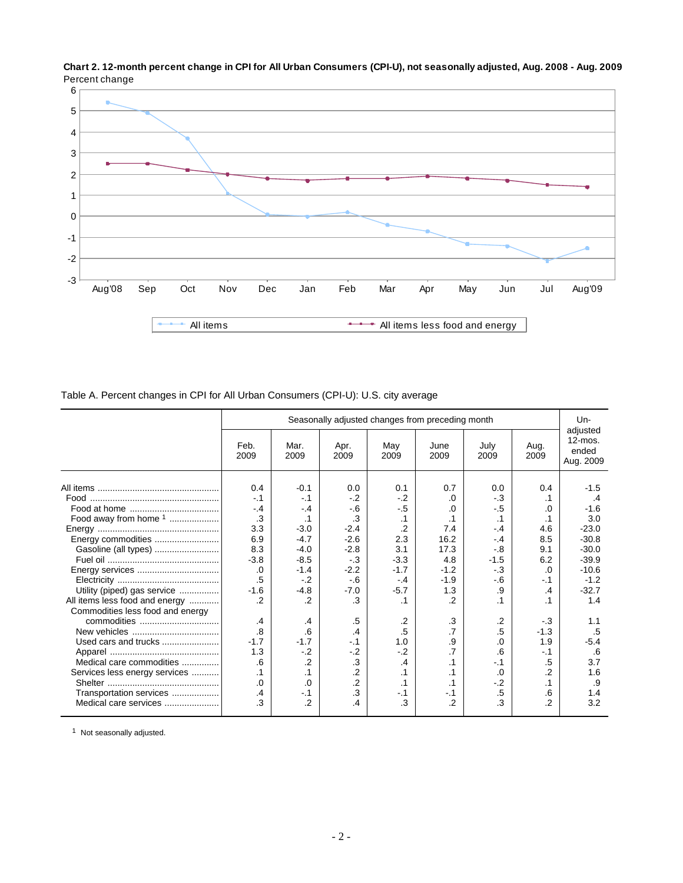

**Chart 2. 12-month percent change in CPI for All Urban Consumers (CPI-U), not seasonally adjusted, Aug. 2008 - Aug. 2009** Percent change

Table A. Percent changes in CPI for All Urban Consumers (CPI-U): U.S. city average

|                                  |                |                | Seasonally adjusted changes from preceding month |             |                 |              |                | Un-                                          |
|----------------------------------|----------------|----------------|--------------------------------------------------|-------------|-----------------|--------------|----------------|----------------------------------------------|
|                                  | Feb.<br>2009   | Mar.<br>2009   | Apr.<br>2009                                     | May<br>2009 | June<br>2009    | July<br>2009 | Aug.<br>2009   | adjusted<br>$12$ -mos.<br>ended<br>Aug. 2009 |
|                                  | 0.4            | $-0.1$         | 0.0                                              | 0.1         | 0.7             | 0.0          | 0.4            | $-1.5$                                       |
|                                  | $-1$           | $-.1$          | $-.2$                                            | $-2$        | .0              | $-3$         | .1             | .4                                           |
|                                  | $-.4$          | $-.4$          | $-6$                                             | $-.5$       | .0              | -.5          | .0             | $-1.6$                                       |
|                                  | $\cdot$ 3      | $\cdot$ 1      | $\cdot$ 3                                        | $\cdot$ 1   | $\cdot$ 1       | $\cdot$ 1    | $\cdot$ 1      | 3.0                                          |
|                                  | 3.3            | $-3.0$         | $-2.4$                                           | $\cdot$     | 7.4             | $-.4$        | 4.6            | $-23.0$                                      |
|                                  | 6.9            | $-4.7$         | $-2.6$                                           | 2.3         | 16.2            | $-4$         | 8.5            | $-30.8$                                      |
|                                  | 8.3            | $-4.0$         | $-2.8$                                           | 3.1         | 17.3            | $-0.8$       | 9.1            | $-30.0$                                      |
|                                  | $-3.8$         | $-8.5$         | $-3$                                             | $-3.3$      | 4.8             | $-1.5$       | 6.2            | $-39.9$                                      |
|                                  | .0             | $-1.4$         | $-2.2$                                           | $-1.7$      | $-1.2$          | $-3$         | .0             | $-10.6$                                      |
|                                  | .5             | $-2$           | $-6$                                             | $-.4$       | $-1.9$          | $-6$         | $-.1$          | $-1.2$                                       |
| Utility (piped) gas service      | $-1.6$         | $-4.8$         | $-7.0$                                           | $-5.7$      | 1.3             | .9           | .4             | $-32.7$                                      |
| All items less food and energy   | $\overline{2}$ | $\cdot$        | .3                                               | $\cdot$ 1   | $\overline{2}$  |              | $\cdot$ 1      | 1.4                                          |
|                                  |                |                |                                                  |             |                 |              |                |                                              |
| Commodities less food and energy |                |                |                                                  |             |                 |              |                |                                              |
|                                  | .4             | .4             | .5                                               | $\cdot$ .2  | .3              | $\cdot$      | $-3$           | 1.1                                          |
|                                  | 8.             | .6             | .4                                               | $.5\,$      | $\overline{.7}$ | .5           | $-1.3$         | .5                                           |
| Used cars and trucks             | $-1.7$         | $-1.7$         | $-.1$                                            | 1.0         | .9              | $\Omega$     | 1.9            | $-5.4$                                       |
|                                  | 1.3            | $-2$           | $-.2$                                            | $-2$        | .7              | .6           | $-.1$          | .6                                           |
| Medical care commodities         | .6             | $\cdot$        | .3                                               | .4          | $\cdot$ 1       | $-.1$        | .5             | 3.7                                          |
| Services less energy services    | $\cdot$ 1      |                | $\overline{2}$                                   | $\cdot$ 1   | $\cdot$ 1       | 0.           | $\overline{2}$ | 1.6                                          |
|                                  | $\Omega$       | .0             | $\overline{2}$                                   | $\cdot$ 1   | $\cdot$ 1       | $-2$         | $\cdot$ 1      | .9                                           |
| Transportation services          | $\overline{A}$ | $-.1$          | $\cdot$ 3                                        | $-1$        | $-.1$           | $.5\,$       | .6             | 1.4                                          |
| Medical care services            | 3              | $\overline{2}$ | .4                                               | .3          | $\overline{2}$  | .3           | $\overline{2}$ | 3.2                                          |

<sup>1</sup> Not seasonally adjusted.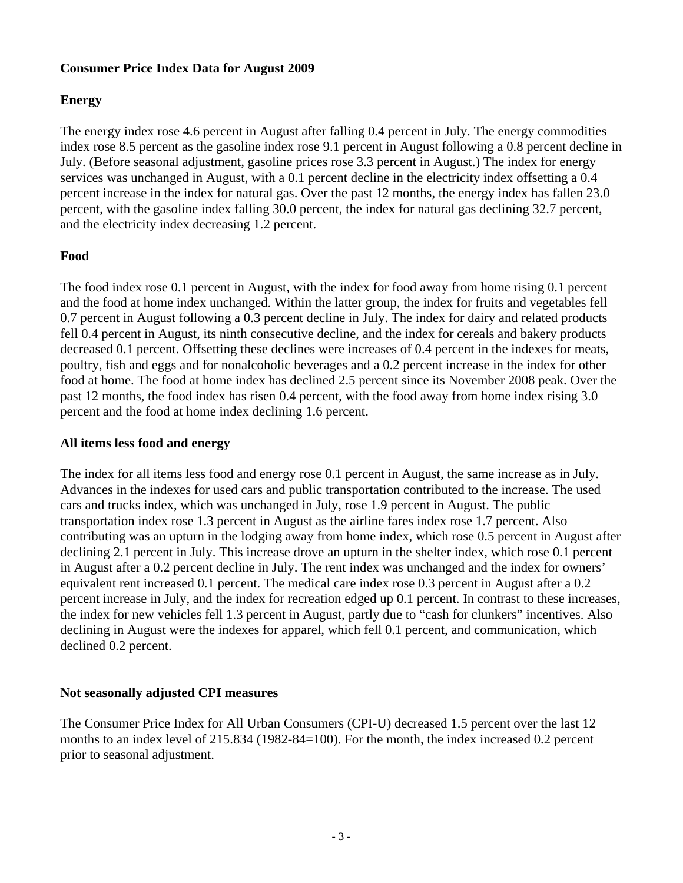### **Consumer Price Index Data for August 2009**

### **Energy**

The energy index rose 4.6 percent in August after falling 0.4 percent in July. The energy commodities index rose 8.5 percent as the gasoline index rose 9.1 percent in August following a 0.8 percent decline in July. (Before seasonal adjustment, gasoline prices rose 3.3 percent in August.) The index for energy services was unchanged in August, with a 0.1 percent decline in the electricity index offsetting a 0.4 percent increase in the index for natural gas. Over the past 12 months, the energy index has fallen 23.0 percent, with the gasoline index falling 30.0 percent, the index for natural gas declining 32.7 percent, and the electricity index decreasing 1.2 percent.

## **Food**

The food index rose 0.1 percent in August, with the index for food away from home rising 0.1 percent and the food at home index unchanged. Within the latter group, the index for fruits and vegetables fell 0.7 percent in August following a 0.3 percent decline in July. The index for dairy and related products fell 0.4 percent in August, its ninth consecutive decline, and the index for cereals and bakery products decreased 0.1 percent. Offsetting these declines were increases of 0.4 percent in the indexes for meats, poultry, fish and eggs and for nonalcoholic beverages and a 0.2 percent increase in the index for other food at home. The food at home index has declined 2.5 percent since its November 2008 peak. Over the past 12 months, the food index has risen 0.4 percent, with the food away from home index rising 3.0 percent and the food at home index declining 1.6 percent.

### **All items less food and energy**

The index for all items less food and energy rose 0.1 percent in August, the same increase as in July. Advances in the indexes for used cars and public transportation contributed to the increase. The used cars and trucks index, which was unchanged in July, rose 1.9 percent in August. The public transportation index rose 1.3 percent in August as the airline fares index rose 1.7 percent. Also contributing was an upturn in the lodging away from home index, which rose 0.5 percent in August after declining 2.1 percent in July. This increase drove an upturn in the shelter index, which rose 0.1 percent in August after a 0.2 percent decline in July. The rent index was unchanged and the index for owners' equivalent rent increased 0.1 percent. The medical care index rose 0.3 percent in August after a 0.2 percent increase in July, and the index for recreation edged up 0.1 percent. In contrast to these increases, the index for new vehicles fell 1.3 percent in August, partly due to "cash for clunkers" incentives. Also declining in August were the indexes for apparel, which fell 0.1 percent, and communication, which declined 0.2 percent.

### **Not seasonally adjusted CPI measures**

The Consumer Price Index for All Urban Consumers (CPI-U) decreased 1.5 percent over the last 12 months to an index level of 215.834 (1982-84=100). For the month, the index increased 0.2 percent prior to seasonal adjustment.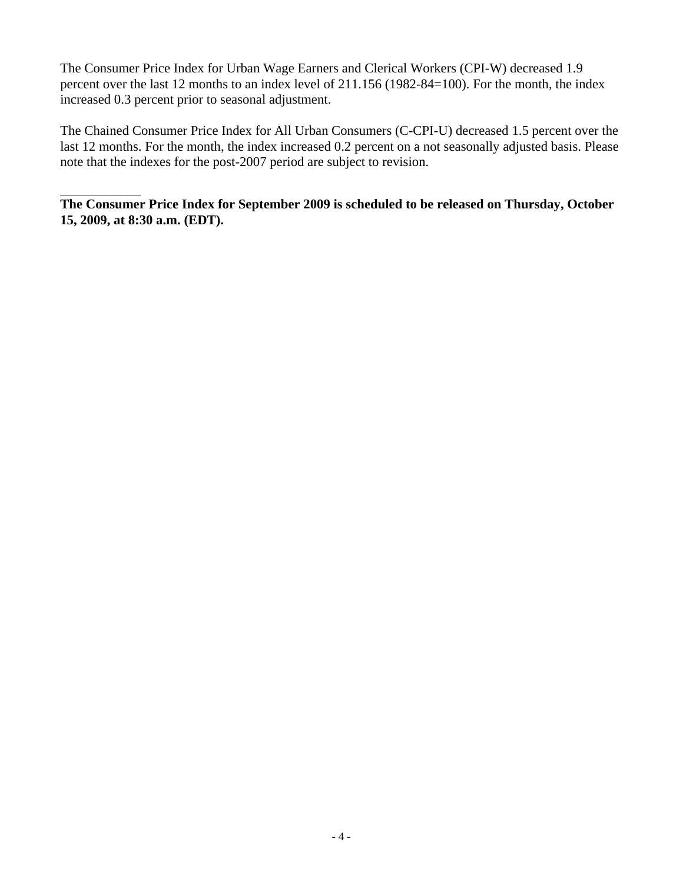The Consumer Price Index for Urban Wage Earners and Clerical Workers (CPI-W) decreased 1.9 percent over the last 12 months to an index level of 211.156 (1982-84=100). For the month, the index increased 0.3 percent prior to seasonal adjustment.

The Chained Consumer Price Index for All Urban Consumers (C-CPI-U) decreased 1.5 percent over the last 12 months. For the month, the index increased 0.2 percent on a not seasonally adjusted basis. Please note that the indexes for the post-2007 period are subject to revision.

**The Consumer Price Index for September 2009 is scheduled to be released on Thursday, October 15, 2009, at 8:30 a.m. (EDT).**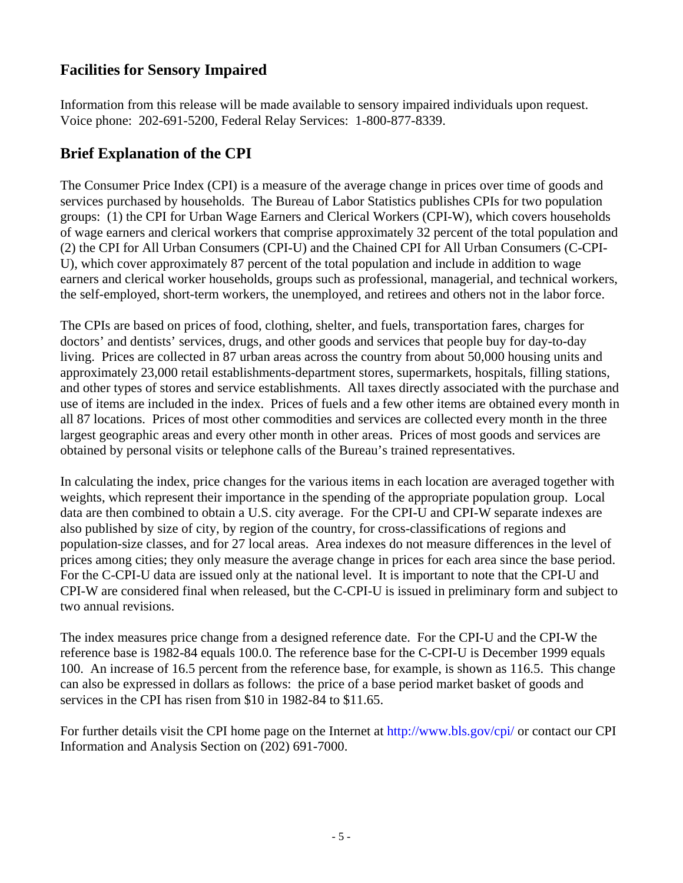# **Facilities for Sensory Impaired**

Information from this release will be made available to sensory impaired individuals upon request. Voice phone: 202-691-5200, Federal Relay Services: 1-800-877-8339.

# **Brief Explanation of the CPI**

The Consumer Price Index (CPI) is a measure of the average change in prices over time of goods and services purchased by households. The Bureau of Labor Statistics publishes CPIs for two population groups: (1) the CPI for Urban Wage Earners and Clerical Workers (CPI-W), which covers households of wage earners and clerical workers that comprise approximately 32 percent of the total population and (2) the CPI for All Urban Consumers (CPI-U) and the Chained CPI for All Urban Consumers (C-CPI-U), which cover approximately 87 percent of the total population and include in addition to wage earners and clerical worker households, groups such as professional, managerial, and technical workers, the self-employed, short-term workers, the unemployed, and retirees and others not in the labor force.

The CPIs are based on prices of food, clothing, shelter, and fuels, transportation fares, charges for doctors' and dentists' services, drugs, and other goods and services that people buy for day-to-day living. Prices are collected in 87 urban areas across the country from about 50,000 housing units and approximately 23,000 retail establishments-department stores, supermarkets, hospitals, filling stations, and other types of stores and service establishments. All taxes directly associated with the purchase and use of items are included in the index. Prices of fuels and a few other items are obtained every month in all 87 locations. Prices of most other commodities and services are collected every month in the three largest geographic areas and every other month in other areas. Prices of most goods and services are obtained by personal visits or telephone calls of the Bureau's trained representatives.

In calculating the index, price changes for the various items in each location are averaged together with weights, which represent their importance in the spending of the appropriate population group. Local data are then combined to obtain a U.S. city average. For the CPI-U and CPI-W separate indexes are also published by size of city, by region of the country, for cross-classifications of regions and population-size classes, and for 27 local areas. Area indexes do not measure differences in the level of prices among cities; they only measure the average change in prices for each area since the base period. For the C-CPI-U data are issued only at the national level. It is important to note that the CPI-U and CPI-W are considered final when released, but the C-CPI-U is issued in preliminary form and subject to two annual revisions.

The index measures price change from a designed reference date. For the CPI-U and the CPI-W the reference base is 1982-84 equals 100.0. The reference base for the C-CPI-U is December 1999 equals 100. An increase of 16.5 percent from the reference base, for example, is shown as 116.5. This change can also be expressed in dollars as follows: the price of a base period market basket of goods and services in the CPI has risen from \$10 in 1982-84 to \$11.65.

For further details visit the CPI home page on the Internet at http://www.bls.gov/cpi/ or contact our CPI Information and Analysis Section on (202) 691-7000.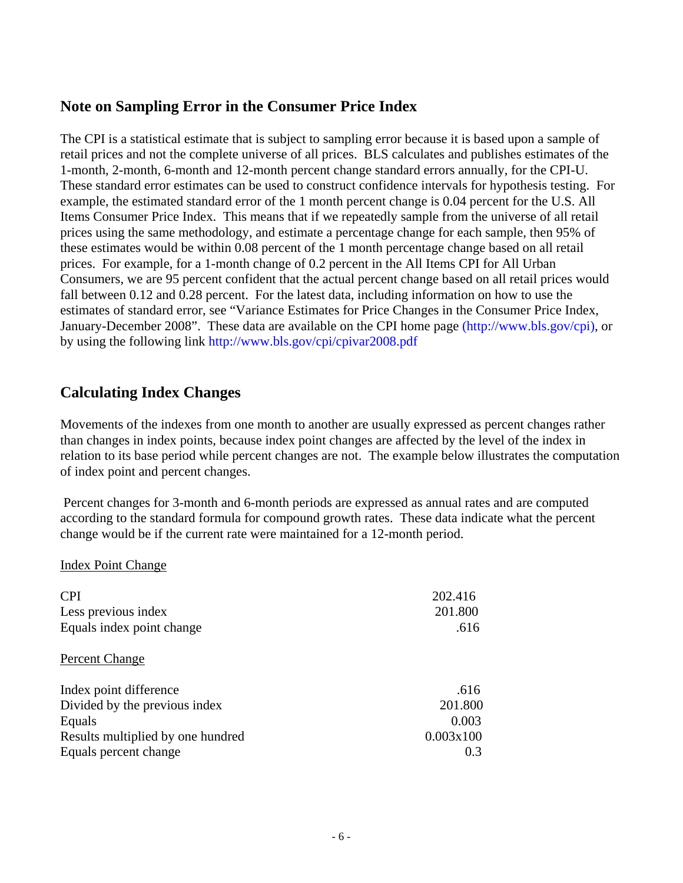# **Note on Sampling Error in the Consumer Price Index**

The CPI is a statistical estimate that is subject to sampling error because it is based upon a sample of retail prices and not the complete universe of all prices. BLS calculates and publishes estimates of the 1-month, 2-month, 6-month and 12-month percent change standard errors annually, for the CPI-U. These standard error estimates can be used to construct confidence intervals for hypothesis testing. For example, the estimated standard error of the 1 month percent change is 0.04 percent for the U.S. All Items Consumer Price Index. This means that if we repeatedly sample from the universe of all retail prices using the same methodology, and estimate a percentage change for each sample, then 95% of these estimates would be within 0.08 percent of the 1 month percentage change based on all retail prices. For example, for a 1-month change of 0.2 percent in the All Items CPI for All Urban Consumers, we are 95 percent confident that the actual percent change based on all retail prices would fall between 0.12 and 0.28 percent. For the latest data, including information on how to use the estimates of standard error, see "Variance Estimates for Price Changes in the Consumer Price Index, January-December 2008". These data are available on the CPI home page (http://www.bls.gov/cpi), or by using the following link http://www.bls.gov/cpi/cpivar2008.pdf

# **Calculating Index Changes**

Movements of the indexes from one month to another are usually expressed as percent changes rather than changes in index points, because index point changes are affected by the level of the index in relation to its base period while percent changes are not. The example below illustrates the computation of index point and percent changes.

 Percent changes for 3-month and 6-month periods are expressed as annual rates and are computed according to the standard formula for compound growth rates. These data indicate what the percent change would be if the current rate were maintained for a 12-month period.

### Index Point Change

| CPI<br>Less previous index<br>Equals index point change | 202.416<br>201.800<br>.616 |
|---------------------------------------------------------|----------------------------|
| Percent Change                                          |                            |
| Index point difference                                  | .616                       |
| Divided by the previous index                           | 201.800                    |
| Equals                                                  | 0.003                      |
| Results multiplied by one hundred                       | 0.003x100                  |
| Equals percent change                                   | 0.3                        |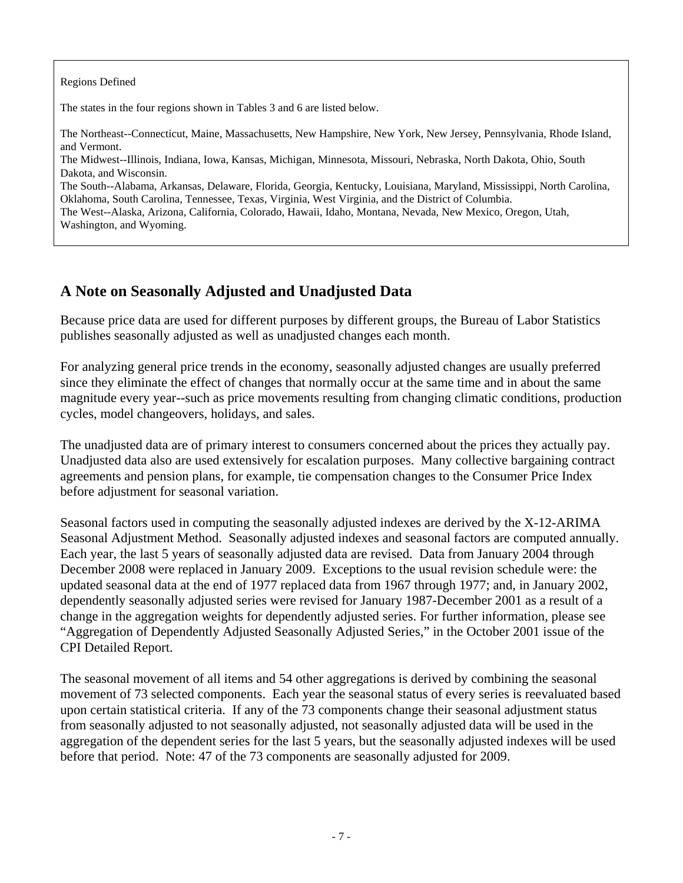Regions Defined

The states in the four regions shown in Tables 3 and 6 are listed below.

The Northeast--Connecticut, Maine, Massachusetts, New Hampshire, New York, New Jersey, Pennsylvania, Rhode Island, and Vermont.

The Midwest--Illinois, Indiana, Iowa, Kansas, Michigan, Minnesota, Missouri, Nebraska, North Dakota, Ohio, South Dakota, and Wisconsin.

The South--Alabama, Arkansas, Delaware, Florida, Georgia, Kentucky, Louisiana, Maryland, Mississippi, North Carolina, Oklahoma, South Carolina, Tennessee, Texas, Virginia, West Virginia, and the District of Columbia.

The West--Alaska, Arizona, California, Colorado, Hawaii, Idaho, Montana, Nevada, New Mexico, Oregon, Utah, Washington, and Wyoming.

# **A Note on Seasonally Adjusted and Unadjusted Data**

Because price data are used for different purposes by different groups, the Bureau of Labor Statistics publishes seasonally adjusted as well as unadjusted changes each month.

For analyzing general price trends in the economy, seasonally adjusted changes are usually preferred since they eliminate the effect of changes that normally occur at the same time and in about the same magnitude every year--such as price movements resulting from changing climatic conditions, production cycles, model changeovers, holidays, and sales.

The unadjusted data are of primary interest to consumers concerned about the prices they actually pay. Unadjusted data also are used extensively for escalation purposes. Many collective bargaining contract agreements and pension plans, for example, tie compensation changes to the Consumer Price Index before adjustment for seasonal variation.

Seasonal factors used in computing the seasonally adjusted indexes are derived by the X-12-ARIMA Seasonal Adjustment Method. Seasonally adjusted indexes and seasonal factors are computed annually. Each year, the last 5 years of seasonally adjusted data are revised. Data from January 2004 through December 2008 were replaced in January 2009. Exceptions to the usual revision schedule were: the updated seasonal data at the end of 1977 replaced data from 1967 through 1977; and, in January 2002, dependently seasonally adjusted series were revised for January 1987-December 2001 as a result of a change in the aggregation weights for dependently adjusted series. For further information, please see "Aggregation of Dependently Adjusted Seasonally Adjusted Series," in the October 2001 issue of the CPI Detailed Report.

The seasonal movement of all items and 54 other aggregations is derived by combining the seasonal movement of 73 selected components. Each year the seasonal status of every series is reevaluated based upon certain statistical criteria. If any of the 73 components change their seasonal adjustment status from seasonally adjusted to not seasonally adjusted, not seasonally adjusted data will be used in the aggregation of the dependent series for the last 5 years, but the seasonally adjusted indexes will be used before that period. Note: 47 of the 73 components are seasonally adjusted for 2009.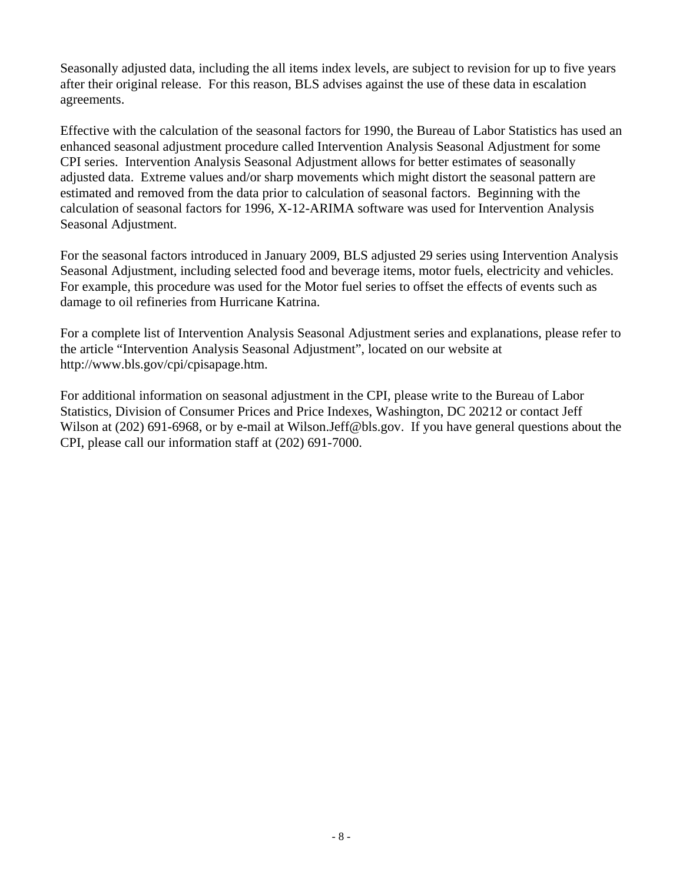Seasonally adjusted data, including the all items index levels, are subject to revision for up to five years after their original release. For this reason, BLS advises against the use of these data in escalation agreements.

Effective with the calculation of the seasonal factors for 1990, the Bureau of Labor Statistics has used an enhanced seasonal adjustment procedure called Intervention Analysis Seasonal Adjustment for some CPI series. Intervention Analysis Seasonal Adjustment allows for better estimates of seasonally adjusted data. Extreme values and/or sharp movements which might distort the seasonal pattern are estimated and removed from the data prior to calculation of seasonal factors. Beginning with the calculation of seasonal factors for 1996, X-12-ARIMA software was used for Intervention Analysis Seasonal Adjustment.

For the seasonal factors introduced in January 2009, BLS adjusted 29 series using Intervention Analysis Seasonal Adjustment, including selected food and beverage items, motor fuels, electricity and vehicles. For example, this procedure was used for the Motor fuel series to offset the effects of events such as damage to oil refineries from Hurricane Katrina.

For a complete list of Intervention Analysis Seasonal Adjustment series and explanations, please refer to the article "Intervention Analysis Seasonal Adjustment", located on our website at http://www.bls.gov/cpi/cpisapage.htm.

For additional information on seasonal adjustment in the CPI, please write to the Bureau of Labor Statistics, Division of Consumer Prices and Price Indexes, Washington, DC 20212 or contact Jeff Wilson at (202) 691-6968, or by e-mail at Wilson. Jeff@bls.gov. If you have general questions about the CPI, please call our information staff at (202) 691-7000.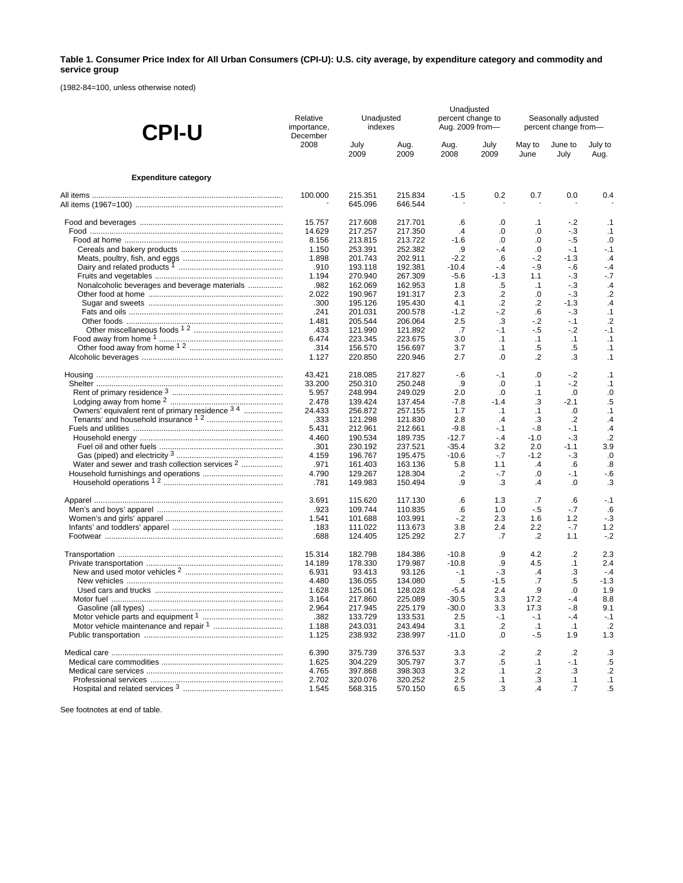### **Table 1. Consumer Price Index for All Urban Consumers (CPI-U): U.S. city average, by expenditure category and commodity and service group**

(1982-84=100, unless otherwise noted)

| <b>CPI-U</b>                                               | Relative<br>importance,<br>December | Unadjusted<br>indexes |                    |               | Unadjusted<br>percent change to<br>Aug. 2009 from- | Seasonally adjusted<br>percent change from- |                 |                         |  |
|------------------------------------------------------------|-------------------------------------|-----------------------|--------------------|---------------|----------------------------------------------------|---------------------------------------------|-----------------|-------------------------|--|
|                                                            | 2008                                | July<br>2009          | Aug.<br>2009       | Aug.<br>2008  | July<br>2009                                       | May to<br>June                              | June to<br>July | July to<br>Aug.         |  |
| <b>Expenditure category</b>                                |                                     |                       |                    |               |                                                    |                                             |                 |                         |  |
|                                                            | 100.000                             | 215.351<br>645.096    | 215.834<br>646.544 | $-1.5$        | 0.2                                                | 0.7                                         | 0.0             | 0.4                     |  |
|                                                            | 15.757                              | 217.608               | 217.701            | .6            | .0                                                 | $\cdot$ 1                                   | $-2$            | $\cdot$ 1               |  |
|                                                            | 14.629                              | 217.257               | 217.350            | $\cdot$       | .0                                                 | .0                                          | $-3$            | $\cdot$ 1               |  |
|                                                            | 8.156                               | 213.815               | 213.722            | $-1.6$        | $\cdot$                                            | .0                                          | - 5             | .0                      |  |
|                                                            | 1.150                               | 253.391               | 252.382            | .9            | $-.4$                                              | .0                                          | $-.1$           | $-.1$                   |  |
|                                                            | 1.898                               | 201.743               | 202.911            | $-2.2$        | .6                                                 | $-2$                                        | $-1.3$          | $\cdot$ 4               |  |
|                                                            | .910                                | 193.118               | 192.381            | $-10.4$       | $-4$                                               | $-9$                                        | - 6             | $-4$                    |  |
|                                                            | 1.194                               | 270.940               | 267.309            | $-5.6$        | $-1.3$                                             | 1.1                                         | $-3$            | - 7                     |  |
| Nonalcoholic beverages and beverage materials              | .982                                | 162.069               | 162.953            | 1.8           | .5                                                 | $\cdot$ 1                                   | $-3$            | $\cdot$                 |  |
|                                                            | 2.022                               | 190.967               | 191.317            | 2.3           | .2                                                 | .0                                          | $-3$            | $\cdot$                 |  |
|                                                            | .300                                | 195.126               | 195.430            | 4.1           | $\cdot$                                            | .2                                          | $-1.3$          | $\cdot$ 4               |  |
|                                                            | .241                                | 201.031<br>205.544    | 200.578            | $-1.2$<br>2.5 | $-2$                                               | .6                                          | $-3$            | $\cdot$ 1<br>$\cdot$ .2 |  |
|                                                            | 1.481<br>.433                       |                       | 206.064<br>121.892 | .7            | $\cdot$ 3<br>$-1$                                  | $-2$<br>- 5                                 | $-1$<br>$-2$    | $-1$                    |  |
|                                                            | 6.474                               | 121.990<br>223.345    | 223.675            | 3.0           | $\cdot$ 1                                          | $\cdot$ 1                                   | $\cdot$ 1       | $\cdot$ 1               |  |
|                                                            | .314                                | 156.570               | 156.697            | 3.7           | $\cdot$ 1                                          | .5                                          | $.5\,$          | .1                      |  |
|                                                            | 1.127                               | 220.850               | 220.946            | 2.7           | .0                                                 | .2                                          | .3              | .1                      |  |
|                                                            |                                     |                       |                    |               |                                                    |                                             |                 |                         |  |
|                                                            | 43.421                              | 218.085               | 217.827            | -.6           | $-.1$                                              | .0                                          | $-2$            | $\cdot$ 1               |  |
|                                                            | 33.200                              | 250.310               | 250.248            | .9            | $\cdot$                                            | $\cdot$ 1                                   | $-2$            | .1                      |  |
|                                                            | 5.957                               | 248.994               | 249.029            | 2.0           | $\cdot$                                            | $\cdot$ 1                                   | .0              | $\cdot$                 |  |
|                                                            | 2.478                               | 139.424               | 137.454            | $-7.8$        | $-1.4$                                             | .3                                          | $-2.1$          | $.5\,$                  |  |
| Owners' equivalent rent of primary residence 34            | 24.433<br>.333                      | 256.872<br>121.298    | 257.155<br>121.830 | 1.7<br>2.8    | $\cdot$ 1<br>$\cdot$                               | $\cdot$ 1<br>.3                             | .0<br>$\cdot$   | $\cdot$ 1<br>$\cdot$    |  |
|                                                            | 5.431                               | 212.961               | 212.661            | $-9.8$        | -.1                                                | -.8                                         | $-1$            | $\cdot$                 |  |
|                                                            | 4.460                               | 190.534               | 189.735            | $-12.7$       | $-4$                                               | $-1.0$                                      | $-3$            | $\cdot$                 |  |
|                                                            | .301                                | 230.192               | 237.521            | $-35.4$       | 3.2                                                | 2.0                                         | $-1.1$          | 3.9                     |  |
|                                                            | 4.159                               | 196.767               | 195.475            | $-10.6$       | $-7$                                               | $-1.2$                                      | $-.3$           | $\cdot$                 |  |
| Water and sewer and trash collection services <sup>2</sup> | .971                                | 161.403               | 163.136            | 5.8           | 1.1                                                | $\cdot$                                     | $6 \,$          | .8                      |  |
|                                                            | 4.790                               | 129.267               | 128.304            | .2            | $-.7$                                              | .0                                          | $-1$            | - 6                     |  |
|                                                            | .781                                | 149.983               | 150.494            | .9            | .3                                                 | .4                                          | .0              | .3                      |  |
|                                                            | 3.691                               | 115.620               | 117.130            | .6            | 1.3                                                | .7                                          | .6              | $-.1$                   |  |
|                                                            | .923                                | 109.744               | 110.835            | .6            | 1.0                                                | - 5                                         | $-7$            | .6                      |  |
|                                                            | 1.541                               | 101.688               | 103.991            | $-2$          | 2.3                                                | 1.6                                         | 1.2             | $-3$                    |  |
|                                                            | .183                                | 111.022               | 113.673            | 3.8           | 2.4                                                | 2.2                                         | $-7$            | 1.2                     |  |
|                                                            | .688                                | 124.405               | 125.292            | 2.7           | .7                                                 | .2                                          | 1.1             | $-2$                    |  |
|                                                            | 15.314                              | 182.798               | 184.386            | $-10.8$       | .9                                                 | 4.2                                         | .2              | 2.3                     |  |
|                                                            | 14.189                              | 178.330               | 179.987            | $-10.8$       | .9                                                 | 4.5                                         | $\cdot$ 1       | 2.4                     |  |
|                                                            | 6.931                               | 93.413                | 93.126             | $-.1$         | $-3$                                               | $\cdot$                                     | .3              | $-4$                    |  |
|                                                            | 4.480                               | 136.055               | 134.080            | .5            | $-1.5$                                             | .7                                          | .5              | $-1.3$                  |  |
|                                                            | 1.628                               | 125.061               | 128.028            | $-5.4$        | 2.4                                                | .9                                          | 0.              | 1.9                     |  |
|                                                            | 3.164                               | 217.860               | 225.089            | $-30.5$       | 3.3                                                | 17.2                                        | $-4$            | 8.8                     |  |
|                                                            | 2.964                               | 217.945               | 225.179            | $-30.0$       | 3.3                                                | 17.3                                        | $-8$            | 9.1                     |  |
|                                                            | .382                                | 133.729               | 133.531            | 2.5           | $-.1$                                              | $-.1$                                       | $-4$            | $-.1$                   |  |
|                                                            | 1.188                               | 243.031               | 243.494            | 3.1           | .2                                                 | $\cdot$ 1                                   | $\cdot$ 1       | $\cdot$                 |  |
|                                                            | 1.125                               | 238.932               | 238.997            | $-11.0$       | .0                                                 | $-.5$                                       | 1.9             | 1.3                     |  |
|                                                            | 6.390                               | 375.739               | 376.537            | 3.3           | $\cdot$                                            | $\cdot$                                     | $\cdot$         | .3                      |  |
|                                                            | 1.625                               | 304.229               | 305.797            | 3.7           | .5                                                 | $\cdot$ 1                                   | $-1$            | .5                      |  |
|                                                            | 4.765                               | 397.868               | 398.303            | 3.2           | $\cdot$ 1                                          | $\cdot$                                     | .3              | $\cdot$                 |  |
|                                                            | 2.702                               | 320.076               | 320.252            | 2.5           | $\cdot$ 1                                          | .3                                          | $\cdot$ 1       | $\cdot$ 1               |  |
|                                                            | 1.545                               | 568.315               | 570.150            | 6.5           | .3                                                 | $\cdot$                                     | .7              | $.5\,$                  |  |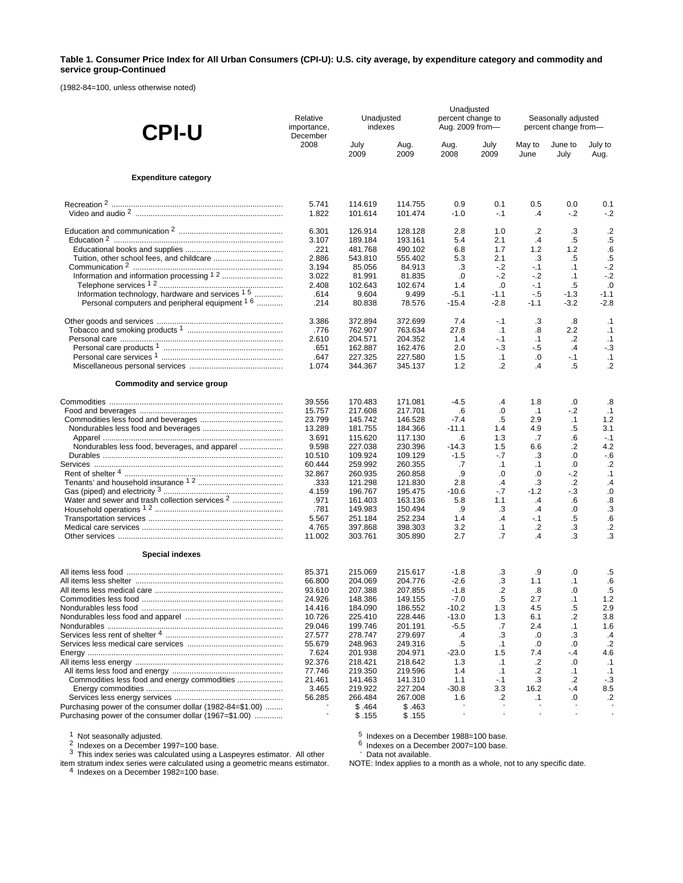#### **Table 1. Consumer Price Index for All Urban Consumers (CPI-U): U.S. city average, by expenditure category and commodity and service group-Continued**

(1982-84=100, unless otherwise noted)

| <b>CPI-U</b>                                                | Relative<br>importance,<br>December | Unadjusted<br>indexes | Unadjusted<br>percent change to<br>Aug. 2009 from- |               | Seasonally adjusted<br>percent change from- |                |                 |                 |
|-------------------------------------------------------------|-------------------------------------|-----------------------|----------------------------------------------------|---------------|---------------------------------------------|----------------|-----------------|-----------------|
|                                                             | 2008                                | July<br>2009          | Aug.<br>2009                                       | Aug.<br>2008  | July<br>2009                                | May to<br>June | June to<br>July | July to<br>Aug. |
| <b>Expenditure category</b>                                 |                                     |                       |                                                    |               |                                             |                |                 |                 |
|                                                             | 5.741<br>1.822                      | 114.619<br>101.614    | 114.755<br>101.474                                 | 0.9<br>$-1.0$ | 0.1<br>$-.1$                                | 0.5<br>$\cdot$ | 0.0<br>$-2$     | 0.1<br>$-2$     |
|                                                             | 6.301                               | 126.914               |                                                    | 2.8           | 1.0                                         | .2             |                 |                 |
|                                                             | 3.107                               | 189.184               | 128.128<br>193.161                                 | 5.4           | 2.1                                         | $\cdot$ 4      | .3<br>.5        | $\cdot$<br>.5   |
|                                                             | .221                                | 481.768               | 490.102                                            | 6.8           | 1.7                                         | 1.2            | 1.2             | .6              |
|                                                             | 2.886                               | 543.810               | 555.402                                            | 5.3           | 2.1                                         | .3             | .5              | $.5\,$          |
|                                                             | 3.194                               | 85.056                | 84.913                                             | .3            | $-2$                                        | $-.1$          | $\cdot$ 1       | $-2$            |
|                                                             | 3.022                               | 81.991                | 81.835                                             | .0            | $-2$                                        | $-.2$          | $\cdot$ 1       | $-2$            |
|                                                             | 2.408                               | 102.643               | 102.674                                            | 1.4           | .0                                          | $-1$           | .5              | .0              |
| Information technology, hardware and services <sup>15</sup> | .614                                | 9.604                 | 9.499                                              | $-5.1$        | $-1.1$                                      | $-.5$          | $-1.3$          | $-1.1$          |
| Personal computers and peripheral equipment <sup>16</sup>   | .214                                | 80.838                | 78.576                                             | $-15.4$       | $-2.8$                                      | $-1.1$         | $-3.2$          | $-2.8$          |
|                                                             | 3.386                               | 372.894               | 372.699                                            | 7.4           | -.1                                         | .3             | .8              | $\cdot$ 1       |
|                                                             | .776                                | 762.907               | 763.634                                            | 27.8          | $\cdot$ 1                                   | .8             | 2.2             | .1              |
|                                                             | 2.610                               | 204.571               | 204.352                                            | 1.4           | $-.1$                                       | $\cdot$ 1      | $\cdot$         | $\cdot$ 1       |
|                                                             | .651                                | 162.887               | 162.476                                            | 2.0           | $-3$                                        | - 5            | $\mathcal{A}$   | $-.3$           |
|                                                             | .647                                | 227.325               | 227.580                                            | 1.5           | $\cdot$ 1                                   | .0             | $-.1$           | .1              |
|                                                             | 1.074                               | 344.367               | 345.137                                            | 1.2           | $\cdot$                                     | $\cdot$        | .5              | $\cdot$         |
| Commodity and service group                                 |                                     |                       |                                                    |               |                                             |                |                 |                 |
|                                                             | 39.556                              | 170.483               | 171.081                                            | $-4.5$        | $\cdot$                                     | 1.8            | $\cdot 0$       | .8              |
|                                                             | 15.757                              | 217.608               | 217.701                                            | .6            | .0                                          | .1             | $-2$            | .1              |
|                                                             | 23.799                              | 145.742               | 146.528                                            | $-7.4$        | .5                                          | 2.9            | $\cdot$ 1       | 1.2             |
|                                                             | 13.289<br>3.691                     | 181.755<br>115.620    | 184.366<br>117.130                                 | $-11.1$       | 1.4<br>1.3                                  | 4.9<br>.7      | .5<br>.6        | 3.1<br>$-.1$    |
|                                                             | 9.598                               | 227.038               | 230.396                                            | .6<br>$-14.3$ | 1.5                                         | 6.6            | .2              | 4.2             |
|                                                             | 10.510                              | 109.924               | 109.129                                            | $-1.5$        | $-7$                                        | .3             | .0              | $-6$            |
|                                                             | 60.444                              | 259.992               | 260.355                                            | .7            | .1                                          | .1             | .0              | $\cdot$         |
|                                                             | 32.867                              | 260.935               | 260.858                                            | .9            | .0                                          | .0             | $-2$            | .1              |
|                                                             | .333                                | 121.298               | 121.830                                            | 2.8           | $\cdot$                                     | .3             | $\cdot$         | $\cdot$         |
|                                                             | 4.159                               | 196.767               | 195.475                                            | $-10.6$       | - 7                                         | $-1.2$         | $-3$            | $\cdot$         |
| Water and sewer and trash collection services <sup>2</sup>  | .971                                | 161.403               | 163.136                                            | 5.8           | 1.1                                         | $\cdot$        | .6              | .8              |
|                                                             | .781                                | 149.983               | 150.494                                            | .9            | .3                                          | $\overline{A}$ | .0              | .3              |
|                                                             | 5.567                               | 251.184               | 252.234                                            | 1.4           | $\overline{A}$                              | $-1$           | $.5\,$          | .6              |
|                                                             | 4.765                               | 397.868               | 398.303                                            | 3.2           | $\cdot$ 1                                   | $\cdot$        | .3              | $\cdot$         |
|                                                             | 11.002                              | 303.761               | 305.890                                            | 2.7           | .7                                          | $\overline{A}$ | .3              | .3              |
| <b>Special indexes</b>                                      |                                     |                       |                                                    |               |                                             |                |                 |                 |
|                                                             | 85.371                              | 215.069               | 215.617                                            | $-1.8$        | .3                                          | .9             | 0.              | .5              |
|                                                             | 66.800                              | 204.069               | 204.776                                            | $-2.6$        | .3                                          | 1.1            | $\cdot$ 1       | $6^{\circ}$     |
|                                                             | 93.610                              | 207.388               | 207.855                                            | $-1.8$        | $\cdot$                                     | .8             | .0              | .5              |
|                                                             | 24.926                              | 148.386               | 149.155                                            | $-7.0$        | .5                                          | 2.7            | $\cdot$ 1       | 1.2             |
|                                                             | 14.416                              | 184.090               | 186.552                                            | $-10.2$       | 1.3                                         | 4.5            | .5              | 2.9             |
|                                                             | 10.726                              | 225.410               | 228.446                                            | $-13.0$       | 1.3                                         | 6.1            | $\cdot$         | 3.8             |
|                                                             | 29.046<br>27.577                    | 199.746<br>278.747    | 201.191<br>279.697                                 | $-5.5$        | .7<br>.3                                    | 2.4            | $\cdot$ 1<br>.3 | 1.6<br>$\cdot$  |
|                                                             | 55.679                              | 248.963               | 249.316                                            | .4<br>.5      | $\cdot$ 1                                   | .0<br>.0       | .0              | .2              |
|                                                             | 7.624                               | 201.938               | 204.971                                            | $-23.0$       | 1.5                                         | 7.4            | $-4$            | 4.6             |
|                                                             | 92.376                              | 218.421               | 218.642                                            | 1.3           | $\cdot$ 1                                   | $\cdot$        | $\cdot 0$       | $\cdot$ 1       |
|                                                             | 77.746                              | 219.350               | 219.596                                            | 1.4           | $\cdot$ 1                                   | $\cdot$        | $\cdot$ 1       | $\cdot$ 1       |
|                                                             | 21.461                              | 141.463               | 141.310                                            | 1.1           | $-1$                                        | .3             | $\cdot$         | $-3$            |
|                                                             | 3.465                               | 219.922               | 227.204                                            | $-30.8$       | 3.3                                         | 16.2           | $-.4$           | 8.5             |
|                                                             | 56.285                              | 266.484               | 267.008                                            | 1.6           | .2                                          | $\cdot$ 1      | .0              | .2              |
| Purchasing power of the consumer dollar (1982-84=\$1.00)    |                                     | \$.464                | \$.463                                             |               |                                             |                |                 |                 |
| Purchasing power of the consumer dollar (1967=\$1.00)       |                                     | \$.155                | \$.155                                             |               |                                             |                |                 |                 |

<sup>1</sup> Not seasonally adjusted.<br><sup>2</sup> Indexes on a December 1997=100 base.<br><sup>3</sup> This index series was calculated using a Laspeyres estimator. All other

item stratum index series were calculated using a geometric means estimator.<br><sup>4</sup> Indexes on a December 1982=100 base.

 $5$  Indexes on a December 1988=100 base.<br>6 Indexes on a December 2007=100 base.<br>- Data not available.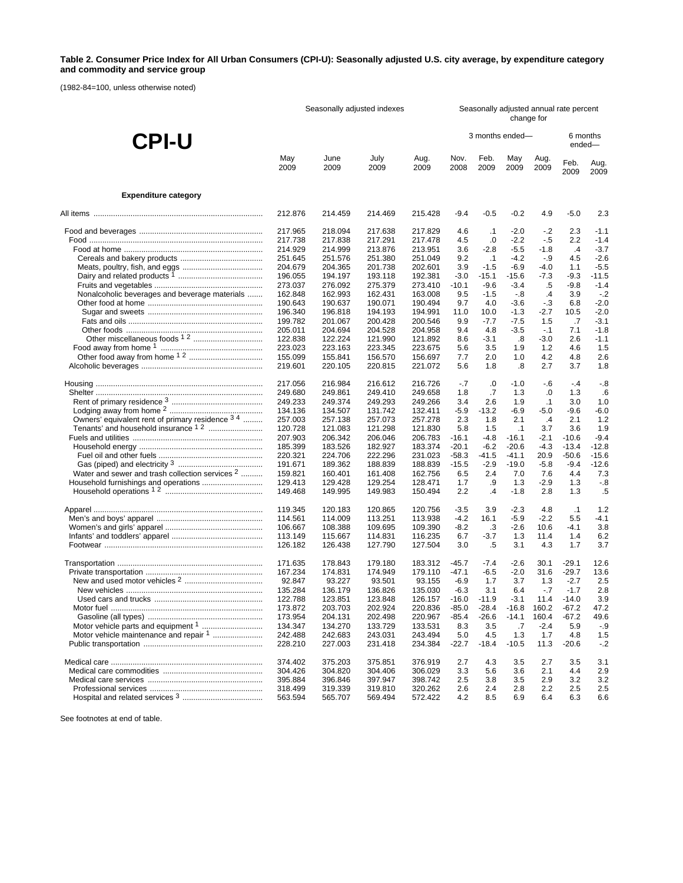### **Table 2. Consumer Price Index for All Urban Consumers (CPI-U): Seasonally adjusted U.S. city average, by expenditure category and commodity and service group**

(1982-84=100, unless otherwise noted)

|                                                            | Seasonally adjusted indexes |                    |                    |                    | Seasonally adjusted annual rate percent<br>change for |                 |                    |                |                    |                    |  |
|------------------------------------------------------------|-----------------------------|--------------------|--------------------|--------------------|-------------------------------------------------------|-----------------|--------------------|----------------|--------------------|--------------------|--|
| <b>CPI-U</b>                                               |                             |                    |                    |                    |                                                       | 3 months ended- |                    |                | 6 months<br>ended- |                    |  |
|                                                            | May<br>2009                 | June<br>2009       | July<br>2009       | Aug.<br>2009       | Nov.<br>2008                                          | Feb.<br>2009    | May<br>2009        | Aug.<br>2009   | Feb.<br>2009       | Aug.<br>2009       |  |
| <b>Expenditure category</b>                                |                             |                    |                    |                    |                                                       |                 |                    |                |                    |                    |  |
|                                                            | 212.876                     | 214.459            | 214.469            | 215.428            | $-9.4$                                                | $-0.5$          | $-0.2$             | 4.9            | $-5.0$             | 2.3                |  |
|                                                            | 217.965                     | 218.094            | 217.638            | 217.829            | 4.6                                                   | $\cdot$ 1       | $-2.0$             | $-2$           | 2.3                | $-1.1$             |  |
|                                                            | 217.738                     | 217.838            | 217.291            | 217.478            | 4.5                                                   | .0              | $-2.2$             | - 5            | 2.2                | $-1.4$             |  |
|                                                            | 214.929                     | 214.999            | 213.876            | 213.951            | 3.6                                                   | $-2.8$          | $-5.5$             | $-1.8$         | $\cdot$            | $-3.7$             |  |
|                                                            | 251.645                     | 251.576            | 251.380            | 251.049            | 9.2                                                   | $\cdot$ 1       | $-4.2$             | - 9            | 4.5                | $-2.6$             |  |
|                                                            | 204.679                     | 204.365            | 201.738            | 202.601            | 3.9                                                   | $-1.5$          | $-6.9$             | $-4.0$         | 1.1                | $-5.5$             |  |
|                                                            | 196.055                     | 194.197            | 193.118            | 192.381            | $-3.0$                                                | $-15.1$         | $-15.6$            | -7.3           | $-9.3$             | $-11.5$            |  |
|                                                            | 273.037                     | 276.092            | 275.379            | 273.410            | $-10.1$                                               | $-9.6$          | $-3.4$             | .5             | $-9.8$             | $-1.4$             |  |
| Nonalcoholic beverages and beverage materials              | 162.848                     | 162.993            | 162.431            | 163.008            | 9.5                                                   | $-1.5$          | -.8                | $\cdot$        | 3.9                | $-.2$              |  |
|                                                            | 190.643                     | 190.637            | 190.071            | 190.494            | 9.7                                                   | 4.0             | $-3.6$             | $-3$           | 6.8                | $-2.0$<br>$-2.0$   |  |
|                                                            | 196.340<br>199.782          | 196.818<br>201.067 | 194.193<br>200.428 | 194.991<br>200.546 | 11.0<br>9.9                                           | 10.0<br>$-7.7$  | $-1.3$<br>$-7.5$   | $-2.7$<br>1.5  | 10.5<br>.7         | $-3.1$             |  |
|                                                            | 205.011                     | 204.694            | 204.528            | 204.958            | 9.4                                                   | 4.8             | $-3.5$             | $-.1$          | 7.1                | $-1.8$             |  |
|                                                            | 122.838                     | 122.224            | 121.990            | 121.892            | 8.6                                                   | $-3.1$          | .8                 | $-3.0$         | 2.6                | $-1.1$             |  |
|                                                            | 223.023                     | 223.163            | 223.345            | 223.675            | 5.6                                                   | 3.5             | 1.9                | 1.2            | 4.6                | 1.5                |  |
|                                                            | 155.099                     | 155.841            | 156.570            | 156.697            | 7.7                                                   | 2.0             | 1.0                | 4.2            | 4.8                | 2.6                |  |
|                                                            | 219.601                     | 220.105            | 220.815            | 221.072            | 5.6                                                   | 1.8             | .8                 | 2.7            | 3.7                | 1.8                |  |
|                                                            | 217.056                     | 216.984            | 216.612            | 216.726            | $-.7$                                                 | .0              | $-1.0$             | $-6$           | $-4$               | $-.8$              |  |
|                                                            | 249.680                     | 249.861            | 249.410            | 249.658            | 1.8                                                   | .7              | 1.3                | .0             | 1.3                | .6                 |  |
|                                                            | 249.233                     | 249.374            | 249.293            | 249.266            | 3.4                                                   | 2.6             | 1.9                | $\cdot$ 1      | 3.0                | 1.0                |  |
|                                                            | 134.136                     | 134.507            | 131.742            | 132.411            | $-5.9$                                                | $-13.2$         | $-6.9$             | $-5.0$         | $-9.6$             | $-6.0$             |  |
| Owners' equivalent rent of primary residence 3 4           | 257.003                     | 257.138            | 257.073            | 257.278            | 2.3                                                   | 1.8             | 2.1                | $\cdot$        | 2.1                | 1.2                |  |
|                                                            | 120.728                     | 121.083            | 121.298            | 121.830            | 5.8                                                   | 1.5             | $\cdot$ 1          | 3.7            | 3.6                | 1.9                |  |
|                                                            | 207.903                     | 206.342            | 206.046            | 206.783            | $-16.1$                                               | $-4.8$          | $-16.1$            | $-2.1$         | $-10.6$            | $-9.4$             |  |
|                                                            | 185.399<br>220.321          | 183.526<br>224.706 | 182.927<br>222.296 | 183.374<br>231.023 | $-20.1$<br>$-58.3$                                    | $-6.2$<br>-41.5 | $-20.6$<br>$-41.1$ | $-4.3$<br>20.9 | $-13.4$<br>$-50.6$ | $-12.8$<br>$-15.6$ |  |
|                                                            | 191.671                     | 189.362            | 188.839            | 188.839            | $-15.5$                                               | $-2.9$          | $-19.0$            | $-5.8$         | $-9.4$             | $-12.6$            |  |
| Water and sewer and trash collection services <sup>2</sup> | 159.821                     | 160.401            | 161.408            | 162.756            | 6.5                                                   | 2.4             | 7.0                | 7.6            | 4.4                | 7.3                |  |
|                                                            | 129.413                     | 129.428            | 129.254            | 128.471            | 1.7                                                   | .9              | 1.3                | $-2.9$         | 1.3                | $-8$               |  |
|                                                            | 149.468                     | 149.995            | 149.983            | 150.494            | 2.2                                                   | $\cdot$         | $-1.8$             | 2.8            | 1.3                | .5                 |  |
|                                                            | 119.345                     | 120.183            | 120.865            | 120.756            | $-3.5$                                                | 3.9             | $-2.3$             | 4.8            | $\cdot$ 1          | 1.2                |  |
|                                                            | 114.561                     | 114.009            | 113.251            | 113.938            | $-4.2$                                                | 16.1            | $-5.9$             | $-2.2$         | 5.5                | -4.1               |  |
|                                                            | 106.667                     | 108.388            | 109.695            | 109.390            | $-8.2$                                                | .3              | $-2.6$             | 10.6           | $-4.1$             | 3.8                |  |
|                                                            | 113.149<br>126.182          | 115.667<br>126.438 | 114.831<br>127.790 | 116.235<br>127.504 | 6.7<br>3.0                                            | $-3.7$<br>.5    | 1.3<br>3.1         | 11.4<br>4.3    | 1.4<br>1.7         | 6.2<br>3.7         |  |
|                                                            | 171.635                     | 178.843            | 179.180            | 183.312            | $-45.7$                                               | $-7.4$          | $-2.6$             | 30.1           | $-29.1$            | 12.6               |  |
|                                                            | 167.234                     | 174.831            | 174.949            | 179.110            | $-47.1$                                               | $-6.5$          | $-2.0$             | 31.6           | $-29.7$            | 13.6               |  |
|                                                            | 92.847                      | 93.227             | 93.501             | 93.155             | $-6.9$                                                | 1.7             | 3.7                | 1.3            | $-2.7$             | 2.5                |  |
|                                                            | 135.284                     | 136.179            | 136.826            | 135.030            | $-6.3$                                                | 3.1             | 6.4                | $-7$           | $-1.7$             | 2.8                |  |
|                                                            | 122.788                     | 123.851            | 123.848            | 126.157            | $-16.0$                                               | $-11.9$         | $-3.1$             | 11.4           | $-14.0$            | 3.9                |  |
|                                                            | 173.872                     | 203.703            | 202.924            | 220.836            | $-85.0$                                               | $-28.4$         | $-16.8$            | 160.2          | $-67.2$            | 47.2               |  |
|                                                            | 173.954                     | 204.131            | 202.498            | 220.967            | -85.4                                                 | $-26.6$         | $-14.1$            | 160.4          | -67.2              | 49.6               |  |
|                                                            | 134.347                     | 134.270            | 133.729            | 133.531            | 8.3                                                   | 3.5             | .7                 | $-2.4$         | 5.9                | $-9$               |  |
| Motor vehicle maintenance and repair 1                     | 242.488                     | 242.683            | 243.031            | 243.494            | 5.0                                                   | 4.5             | 1.3                | 1.7            | 4.8                | 1.5                |  |
|                                                            | 228.210                     | 227.003            | 231.418            | 234.384            | $-22.7$                                               | $-18.4$         | $-10.5$            | 11.3           | $-20.6$            | $-2$               |  |
|                                                            | 374.402                     | 375.203            | 375.851            | 376.919            | 2.7                                                   | 4.3             | 3.5                | 2.7            | 3.5                | 3.1                |  |
|                                                            | 304.426                     | 304.820            | 304.406            | 306.029            | 3.3                                                   | 5.6             | 3.6                | 2.1            | 4.4                | 2.9                |  |
|                                                            | 395.884                     | 396.846            | 397.947            | 398.742            | 2.5                                                   | 3.8             | 3.5                | 2.9            | 3.2                | 3.2                |  |
|                                                            | 318.499                     | 319.339            | 319.810            | 320.262            | 2.6                                                   | 2.4             | 2.8                | 2.2            | 2.5                | 2.5                |  |
|                                                            | 563.594                     | 565.707            | 569.494            | 572.422            | 4.2                                                   | 8.5             | 6.9                | 6.4            | 6.3                | 6.6                |  |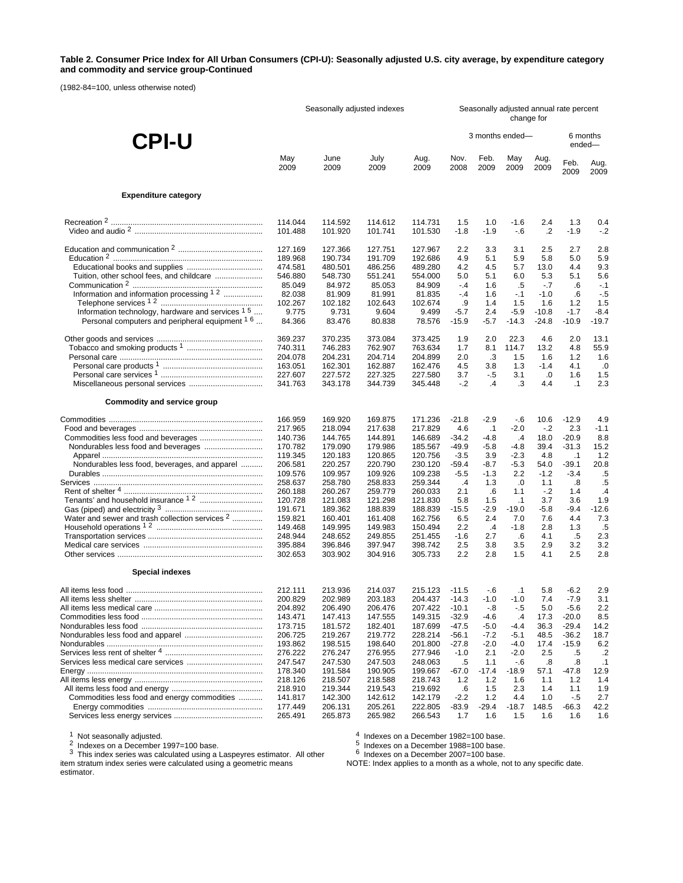#### **Table 2. Consumer Price Index for All Urban Consumers (CPI-U): Seasonally adjusted U.S. city average, by expenditure category and commodity and service group-Continued**

(1982-84=100, unless otherwise noted)

|                                                            | Seasonally adjusted indexes   |                               |                               |                               |                    | Seasonally adjusted annual rate percent<br>change for |                  |                     |                         |                  |  |
|------------------------------------------------------------|-------------------------------|-------------------------------|-------------------------------|-------------------------------|--------------------|-------------------------------------------------------|------------------|---------------------|-------------------------|------------------|--|
| <b>CPI-U</b>                                               |                               |                               |                               |                               |                    | 3 months ended-                                       |                  |                     | 6 months<br>ended-      |                  |  |
|                                                            | May                           | June                          | July                          | Aug.                          | Nov.               | Feb.                                                  | May              | Aug.                | Feb.                    | Aug.             |  |
|                                                            | 2009                          | 2009                          | 2009                          | 2009                          | 2008               | 2009                                                  | 2009             | 2009                | 2009                    | 2009             |  |
| <b>Expenditure category</b>                                |                               |                               |                               |                               |                    |                                                       |                  |                     |                         |                  |  |
|                                                            | 114.044                       | 114.592                       | 114.612                       | 114.731                       | 1.5                | 1.0                                                   | $-1.6$           | 2.4                 | 1.3                     | 0.4              |  |
|                                                            | 101.488                       | 101.920                       | 101.741                       | 101.530                       | $-1.8$             | $-1.9$                                                | $-6$             | $\cdot$             | $-1.9$                  | $-.2$            |  |
|                                                            | 127.169                       | 127.366                       | 127.751                       | 127.967                       | 2.2                | 3.3                                                   | 3.1              | 2.5                 | 2.7                     | 2.8              |  |
|                                                            | 189.968                       | 190.734                       | 191.709                       | 192.686                       | 4.9                | 5.1                                                   | 5.9              | 5.8                 | 5.0                     | 5.9              |  |
|                                                            | 474.581                       | 480.501                       | 486.256                       | 489.280                       | 4.2                | 4.5                                                   | 5.7              | 13.0                | 4.4                     | 9.3              |  |
| Tuition, other school fees, and childcare                  | 546.880                       | 548.730                       | 551.241                       | 554.000                       | 5.0                | 5.1                                                   | 6.0              | 5.3                 | 5.1                     | 5.6              |  |
|                                                            | 85.049                        | 84.972                        | 85.053                        | 84.909                        | $-.4$              | 1.6                                                   | .5               | $-.7$               | .6                      | $-.1$            |  |
| Information and information processing 1 2                 | 82.038                        | 81.909                        | 81.991                        | 81.835                        | $-4$               | 1.6                                                   | $-1$             | $-1.0$              | .6                      | $-.5$            |  |
|                                                            | 102.267                       | 102.182                       | 102.643                       | 102.674                       | .9                 | 1.4                                                   | 1.5              | 1.6                 | 1.2                     | 1.5              |  |
| Information technology, hardware and services 1 5          | 9.775                         | 9.731                         | 9.604                         | 9.499                         | $-5.7$             | 2.4                                                   | $-5.9$           | $-10.8$             | $-1.7$                  | $-8.4$           |  |
| Personal computers and peripheral equipment <sup>16</sup>  | 84.366                        | 83.476                        | 80.838                        | 78.576                        | $-15.9$            | $-5.7$                                                | $-14.3$          | $-24.8$             | $-10.9$                 | $-19.7$          |  |
|                                                            | 369.237                       | 370.235                       | 373.084                       | 373.425                       | 1.9                | 2.0                                                   | 22.3             | 4.6                 | 2.0                     | 13.1             |  |
|                                                            | 740.311                       | 746.283                       | 762.907                       | 763.634                       | 1.7                | 8.1                                                   | 114.7            | 13.2                | 4.8                     | 55.9             |  |
|                                                            | 204.078                       | 204.231                       | 204.714                       | 204.899                       | 2.0                | .3                                                    | 1.5              | 1.6                 | 1.2                     | 1.6              |  |
|                                                            | 163.051<br>227.607<br>341.763 | 162.301<br>227.572<br>343.178 | 162.887<br>227.325<br>344.739 | 162.476<br>227.580<br>345.448 | 4.5<br>3.7<br>$-2$ | 3.8<br>- 5<br>$\mathcal{A}$                           | 1.3<br>3.1<br>.3 | $-1.4$<br>.0<br>4.4 | 4.1<br>1.6<br>$\cdot$ 1 | .0<br>1.5<br>2.3 |  |
| Commodity and service group                                |                               |                               |                               |                               |                    |                                                       |                  |                     |                         |                  |  |
|                                                            | 166.959                       | 169.920                       | 169.875                       | 171.236                       | $-21.8$            | $-2.9$                                                | $-6$             | 10.6                | $-12.9$                 | 4.9              |  |
|                                                            | 217.965                       | 218.094                       | 217.638                       | 217.829                       | 4.6                | $\cdot$ 1                                             | $-2.0$           | $-2$                | 2.3                     | $-1.1$           |  |
|                                                            | 140.736                       | 144.765                       | 144.891                       | 146.689                       | $-34.2$            | $-4.8$                                                | $\cdot$          | 18.0                | $-20.9$                 | 8.8              |  |
|                                                            | 170.782                       | 179.090                       | 179.986                       | 185.567                       | $-49.9$            | $-5.8$                                                | $-4.8$           | 39.4                | $-31.3$                 | 15.2             |  |
|                                                            | 119.345                       | 120.183                       | 120.865                       | 120.756                       | $-3.5$             | 3.9                                                   | $-2.3$           | 4.8                 | $\cdot$ 1               | 1.2              |  |
| Nondurables less food, beverages, and apparel              | 206.581                       | 220.257                       | 220.790                       | 230.120                       | $-59.4$            | -8.7                                                  | $-5.3$           | 54.0                | $-39.1$                 | 20.8             |  |
|                                                            | 109.576                       | 109.957                       | 109.926                       | 109.238                       | $-5.5$             | $-1.3$                                                | 2.2              | $-1.2$              | $-3.4$                  | .5               |  |
|                                                            | 258.637                       | 258.780                       | 258.833                       | 259.344                       | $\cdot$            | 1.3                                                   | .0               | 1.1                 | .8                      | .5               |  |
|                                                            | 260.188                       | 260.267                       | 259.779                       | 260.033                       | 2.1                | .6                                                    | 1.1              | $-.2$               | 1.4                     | $\cdot$          |  |
|                                                            | 120.728                       | 121.083                       | 121.298                       | 121.830                       | 5.8                | 1.5                                                   | $\cdot$ 1        | 3.7                 | 3.6                     | 1.9              |  |
|                                                            | 191.671                       | 189.362                       | 188.839                       | 188.839                       | $-15.5$            | $-2.9$                                                | $-19.0$          | -5.8                | $-9.4$                  | $-12.6$          |  |
| Water and sewer and trash collection services <sup>2</sup> | 159.821                       | 160.401                       | 161.408                       | 162.756                       | 6.5                | 2.4                                                   | 7.0              | 7.6                 | 4.4                     | 7.3              |  |
|                                                            | 149.468                       | 149.995                       | 149.983                       | 150.494                       | 2.2                | $\cdot$ 4                                             | $-1.8$           | 2.8                 | 1.3                     | .5               |  |
|                                                            | 248.944                       | 248.652                       | 249.855                       | 251.455                       | -1.6               | 2.7                                                   | .6               | 4.1                 | .5                      | 2.3              |  |
|                                                            | 395.884                       | 396.846                       | 397.947                       | 398.742                       | 2.5                | 3.8                                                   | 3.5              | 2.9                 | 3.2                     | 3.2              |  |
|                                                            | 302.653                       | 303.902                       | 304.916                       | 305.733                       | 2.2                | 2.8                                                   | 1.5              | 4.1                 | 2.5                     | 2.8              |  |
| <b>Special indexes</b>                                     |                               |                               |                               |                               |                    |                                                       |                  |                     |                         |                  |  |
|                                                            | 212.111                       | 213.936                       | 214.037                       | 215.123 -11.5                 |                    | -.6                                                   | $\cdot$ 1        | 5.8                 | $-6.2$                  | 2.9              |  |
|                                                            | 200.829                       | 202.989                       | 203.183                       | 204.437 -14.3                 |                    | $-1.0$                                                | $-1.0$           | 7.4                 | $-7.9$                  | 3.1              |  |
|                                                            | 204.892                       | 206.490                       | 206.476                       | 207.422                       | $-10.1$            | $-8$                                                  | $-.5$            | 5.0                 | $-5.6$                  | 2.2              |  |
|                                                            | 143.471                       | 147.413                       | 147.555                       | 149.315                       | $-32.9$            | $-4.6$                                                | $\cdot$          | 17.3                | $-20.0$                 | 8.5              |  |
|                                                            | 173.715                       | 181.572                       | 182.401                       | 187.699                       | $-47.5$            | $-5.0$                                                | $-4.4$           | 36.3                | $-29.4$                 | 14.2             |  |
|                                                            | 206.725                       | 219.267                       | 219.772                       | 228.214                       | $-56.1$            | $-7.2$                                                | $-5.1$           | 48.5                | $-36.2$                 | 18.7             |  |
|                                                            | 193.862                       | 198.515                       | 198.640                       | 201.800                       | $-27.8$            | $-2.0$                                                | $-4.0$           | 17.4                | $-15.9$                 | 6.2              |  |
|                                                            | 276.222                       | 276.247                       | 276.955                       | 277.946                       | $-1.0$             | 2.1                                                   | $-2.0$           | 2.5                 | .5                      | $\cdot$          |  |
|                                                            | 247.547                       | 247.530                       | 247.503                       | 248.063                       | .5                 | 1.1                                                   | $-6$             | .8                  | .8                      | $\cdot$ 1        |  |
|                                                            | 178.340                       | 191.584                       | 190.905                       | 199.667                       | $-67.0$            | $-17.4$                                               | $-18.9$          | 57.1                | $-47.8$                 | 12.9             |  |
|                                                            | 218.126                       | 218.507                       | 218.588                       | 218.743                       | 1.2                | 1.2                                                   | 1.6              | 1.1                 | 1.2                     | 1.4              |  |
|                                                            | 218.910                       | 219.344                       | 219.543                       | 219.692                       | .6                 | 1.5                                                   | 2.3              | 1.4                 | 1.1                     | 1.9              |  |
| Commodities less food and energy commodities               | 141.817                       | 142.300                       | 142.612                       | 142.179                       | $-2.2$             | 1.2                                                   | 4.4              | 1.0                 | $-.5$                   | 2.7              |  |
|                                                            | 177.449                       | 206.131                       | 205.261                       | 222.805                       | $-83.9$            | $-29.4$                                               | $-18.7$          | 148.5               | $-66.3$                 | 42.2             |  |
|                                                            | 265.491                       | 265.873                       | 265.982                       | 266.543                       | 1.7                | 1.6                                                   | 1.5              | 1.6                 | 1.6                     | 1.6              |  |

<sup>1</sup> Not seasonally adjusted.<br><sup>2</sup> Indexes on a December 1997=100 base.<br><sup>3</sup> This index series was calculated using a Laspeyres estimator. All other

 $^4$  Indexes on a December 1982=100 base.<br>5 Indexes on a December 1988=100 base.<br><sup>6</sup> Indexes on a December 2007=100 base.

item stratum index series were calculated using a geometric means estimator.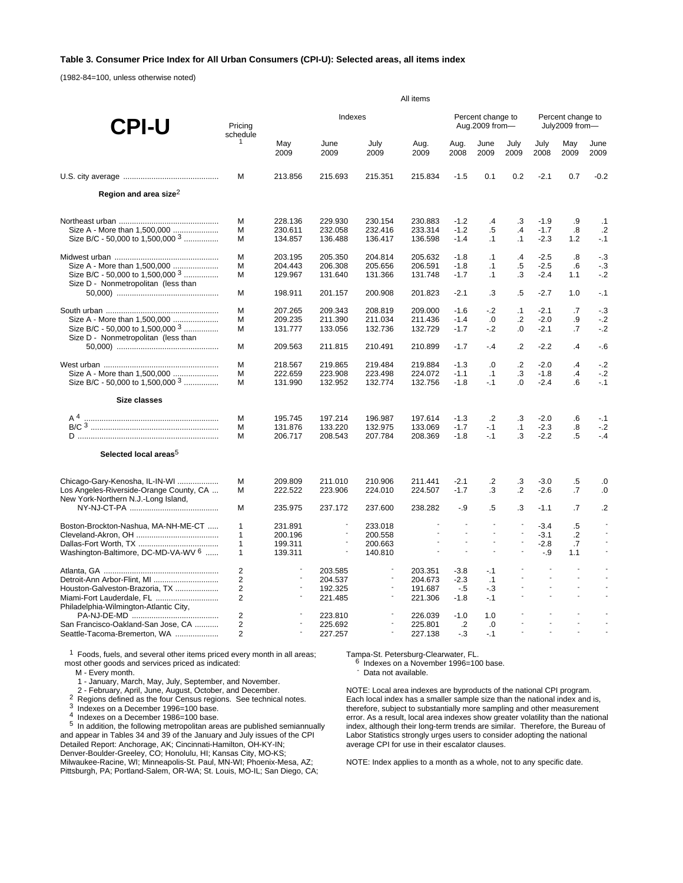### **Table 3. Consumer Price Index for All Urban Consumers (CPI-U): Selected areas, all items index**

(1982-84=100, unless otherwise noted)

|                                                | All items                    |                          |                          |                          |                          |                          |                                     |                          |                     |                                     |                          |  |
|------------------------------------------------|------------------------------|--------------------------|--------------------------|--------------------------|--------------------------|--------------------------|-------------------------------------|--------------------------|---------------------|-------------------------------------|--------------------------|--|
| <b>CPI-U</b>                                   | Pricina<br>schedule          |                          | Indexes                  |                          |                          |                          | Percent change to<br>Aug.2009 from- |                          |                     | Percent change to<br>July2009 from- |                          |  |
|                                                | $\mathbf{1}$                 | May<br>2009              | June<br>2009             | July<br>2009             | Aug.<br>2009             | Aug.<br>2008             | June<br>2009                        | July<br>2009             | July<br>2008        | May<br>2009                         | June<br>2009             |  |
|                                                | M                            | 213.856                  | 215.693                  | 215.351                  | 215.834                  | $-1.5$                   | 0.1                                 | 0.2                      | $-2.1$              | 0.7                                 | $-0.2$                   |  |
| Region and area size <sup>2</sup>              |                              |                          |                          |                          |                          |                          |                                     |                          |                     |                                     |                          |  |
|                                                | м                            | 228.136                  | 229.930                  | 230.154                  | 230.883                  | $-1.2$                   | $\cdot$                             | .3                       | $-1.9$              | .9                                  | .1                       |  |
| Size A - More than 1,500,000                   | M                            | 230.611                  | 232.058                  | 232.416                  | 233.314                  | $-1.2$                   | $.5\,$                              | $\overline{A}$           | $-1.7$              | .8                                  | $\cdot$                  |  |
| Size B/C - 50,000 to 1,500,000 $3$             | M                            | 134.857                  | 136.488                  | 136.417                  | 136.598                  | $-1.4$                   | $\cdot$ 1                           | $\cdot$ 1                | $-2.3$              | 1.2                                 | $-1$                     |  |
|                                                | M                            | 203.195                  | 205.350                  | 204.814                  | 205.632                  | $-1.8$                   | $\cdot$ 1                           | .4                       | $-2.5$              | .8                                  | $-.3$                    |  |
| Size A - More than 1,500,000                   | M                            | 204.443                  | 206.308                  | 205.656                  | 206.591                  | $-1.8$                   | $\cdot$ 1                           | $.5\,$                   | $-2.5$              | .6                                  | $-.3$                    |  |
| Size B/C - 50,000 to 1,500,000 $3$             | M                            | 129.967                  | 131.640                  | 131.366                  | 131.748                  | $-1.7$                   | $\cdot$ 1                           | .3                       | $-2.4$              | 1.1                                 | $-2$                     |  |
| Size D - Nonmetropolitan (less than            | м                            | 198.911                  | 201.157                  | 200.908                  | 201.823                  | $-2.1$                   | .3                                  | $.5\,$                   | $-2.7$              | 1.0                                 | $-.1$                    |  |
|                                                | M                            | 207.265                  | 209.343                  | 208.819                  | 209.000                  | $-1.6$                   | $-2$                                | $\cdot$ 1                | $-2.1$              | .7                                  | $-3$                     |  |
| Size A - More than 1,500,000                   | M                            | 209.235                  | 211.390                  | 211.034                  | 211.436                  | $-1.4$                   | .0                                  | $\cdot$                  | $-2.0$              | .9                                  | $-2$                     |  |
| Size B/C - 50,000 to 1,500,000 $3$             | M                            | 131.777                  | 133.056                  | 132.736                  | 132.729                  | $-1.7$                   | $-2$                                | 0.                       | $-2.1$              | .7                                  | $-2$                     |  |
| Size D - Nonmetropolitan (less than            |                              |                          |                          |                          |                          |                          |                                     |                          |                     |                                     |                          |  |
|                                                | М                            | 209.563                  | 211.815                  | 210.491                  | 210.899                  | $-1.7$                   | $-4$                                | $\cdot$                  | $-2.2$              | $\cdot$                             | - 6                      |  |
|                                                | м                            | 218.567                  | 219.865                  | 219.484                  | 219.884                  | $-1.3$                   | .0                                  | $\overline{2}$           | $-2.0$              | $\overline{A}$                      | $-2$                     |  |
| Size A - More than 1,500,000                   | M                            | 222.659                  | 223.908                  | 223.498                  | 224.072                  | $-1.1$                   | $\cdot$ 1                           | .3                       | $-1.8$              | $\cdot$                             | $-2$                     |  |
| Size B/C - 50,000 to 1,500,000 $3$             | M                            | 131.990                  | 132.952                  | 132.774                  | 132.756                  | $-1.8$                   | $-.1$                               | 0.                       | $-2.4$              | .6                                  | $-.1$                    |  |
| <b>Size classes</b>                            |                              |                          |                          |                          |                          |                          |                                     |                          |                     |                                     |                          |  |
| A <sup>4</sup>                                 | M                            | 195.745                  | 197.214                  | 196.987                  | 197.614                  | $-1.3$                   | $\cdot$                             | .3                       | $-2.0$              | .6                                  | $-.1$                    |  |
|                                                | M                            | 131.876                  | 133.220                  | 132.975                  | 133.069                  | $-1.7$                   | $-1$                                | $\cdot$ 1                | $-2.3$              | .8                                  | $-2$                     |  |
|                                                | м                            | 206.717                  | 208.543                  | 207.784                  | 208.369                  | $-1.8$                   | $-.1$                               | .3                       | $-2.2$              | .5                                  | $-4$                     |  |
| Selected local areas <sup>5</sup>              |                              |                          |                          |                          |                          |                          |                                     |                          |                     |                                     |                          |  |
| Chicago-Gary-Kenosha, IL-IN-WI                 | M                            | 209.809                  | 211.010                  | 210.906                  | 211.441                  | $-2.1$                   | $\cdot$ .2                          | .3                       | $-3.0$              | $.5\,$                              | .0                       |  |
| Los Angeles-Riverside-Orange County, CA        | M                            | 222.522                  | 223.906                  | 224.010                  | 224.507                  | $-1.7$                   | .3                                  | $\cdot$ .2               | $-2.6$              | .7                                  | .0                       |  |
| New York-Northern N.J.-Long Island,            | M                            | 235.975                  | 237.172                  | 237.600                  | 238.282                  | $-.9$                    | $.5\,$                              | .3                       | $-1.1$              | .7                                  | $\cdot$                  |  |
|                                                |                              |                          | $\overline{\phantom{a}}$ |                          |                          |                          | ÷,                                  | $\blacksquare$           |                     |                                     |                          |  |
| Boston-Brockton-Nashua, MA-NH-ME-CT            | $\mathbf{1}$<br>$\mathbf{1}$ | 231.891<br>200.196       | $\blacksquare$           | 233.018<br>200.558       |                          | ÷,                       | $\overline{\phantom{a}}$            | $\overline{\phantom{a}}$ | $-3.4$<br>$-3.1$    | $.5\,$<br>$\cdot$                   |                          |  |
|                                                | 1                            | 199.311                  |                          | 200.663                  |                          | $\blacksquare$           |                                     |                          | $-2.8$              | .7                                  |                          |  |
| Washington-Baltimore, DC-MD-VA-WV <sup>6</sup> | 1                            | 139.311                  | $\overline{\phantom{a}}$ | 140.810                  | $\overline{\phantom{a}}$ | $\overline{\phantom{a}}$ | ÷,                                  | ÷,                       | $-9$                | 1.1                                 | $\overline{\phantom{a}}$ |  |
|                                                | $\overline{2}$               |                          | 203.585                  | $\overline{\phantom{a}}$ | 203.351                  | $-3.8$                   | $-.1$                               |                          | $\sim$              | $\overline{a}$                      |                          |  |
| Detroit-Ann Arbor-Flint, MI                    | 2                            | $\overline{\phantom{a}}$ | 204.537                  | $\overline{\phantom{a}}$ | 204.673                  | $-2.3$                   | $\cdot$ 1                           | $\overline{a}$           | $\mathcal{L}$       | $\overline{a}$                      |                          |  |
| Houston-Galveston-Brazoria, TX                 | $\overline{2}$               |                          | 192.325                  |                          | 191.687                  | $-.5$                    | $-3$                                | $\overline{a}$           | $\blacksquare$      | $\frac{1}{2}$                       |                          |  |
| Miami-Fort Lauderdale, FL                      | $\overline{2}$               |                          | 221.485                  | $\overline{\phantom{a}}$ | 221.306                  | $-1.8$                   | $-.1$                               | ÷,                       | $\bar{\phantom{a}}$ | $\overline{a}$                      |                          |  |
| Philadelphia-Wilmington-Atlantic City,         |                              |                          |                          | $\blacksquare$           |                          |                          |                                     |                          | $\overline{a}$      |                                     |                          |  |
| San Francisco-Oakland-San Jose, CA             | $\overline{2}$<br>2          |                          | 223.810<br>225.692       |                          | 226.039<br>225.801       | $-1.0$<br>$\cdot$        | 1.0<br>.0                           |                          | $\blacksquare$      | $\overline{a}$                      |                          |  |
| Seattle-Tacoma-Bremerton, WA                   | 2                            |                          | 227.257                  | $\overline{\phantom{a}}$ | 227.138                  | $-3$                     | $-.1$                               |                          |                     |                                     |                          |  |
|                                                |                              |                          |                          |                          |                          |                          |                                     |                          |                     |                                     |                          |  |

<sup>1</sup> Foods, fuels, and several other items priced every month in all areas; most other goods and services priced as indicated:

M - Every month.

1 - January, March, May, July, September, and November.

2<br>
Regions defined as the four Census regions. See technical notes.<br>
<sup>3</sup> Indexes on a December 1996=100 base.<br>
<sup>4</sup> Indexes on a December 1986=100 base.<br>
<sup>5</sup> In addition, the following metropolitan areas are published semia and appear in Tables 34 and 39 of the January and July issues of the CPI Detailed Report: Anchorage, AK; Cincinnati-Hamilton, OH-KY-IN; Denver-Boulder-Greeley, CO; Honolulu, HI; Kansas City, MO-KS; Milwaukee-Racine, WI; Minneapolis-St. Paul, MN-WI; Phoenix-Mesa, AZ; Pittsburgh, PA; Portland-Salem, OR-WA; St. Louis, MO-IL; San Diego, CA;

Tampa-St. Petersburg-Clearwater, FL.<br>6 Indexes on a November 1996=100 base.<br>- Data not available.

NOTE: Local area indexes are byproducts of the national CPI program. Each local index has a smaller sample size than the national index and is, therefore, subject to substantially more sampling and other measurement error. As a result, local area indexes show greater volatility than the national index, although their long-term trends are similar. Therefore, the Bureau of Labor Statistics strongly urges users to consider adopting the national average CPI for use in their escalator clauses.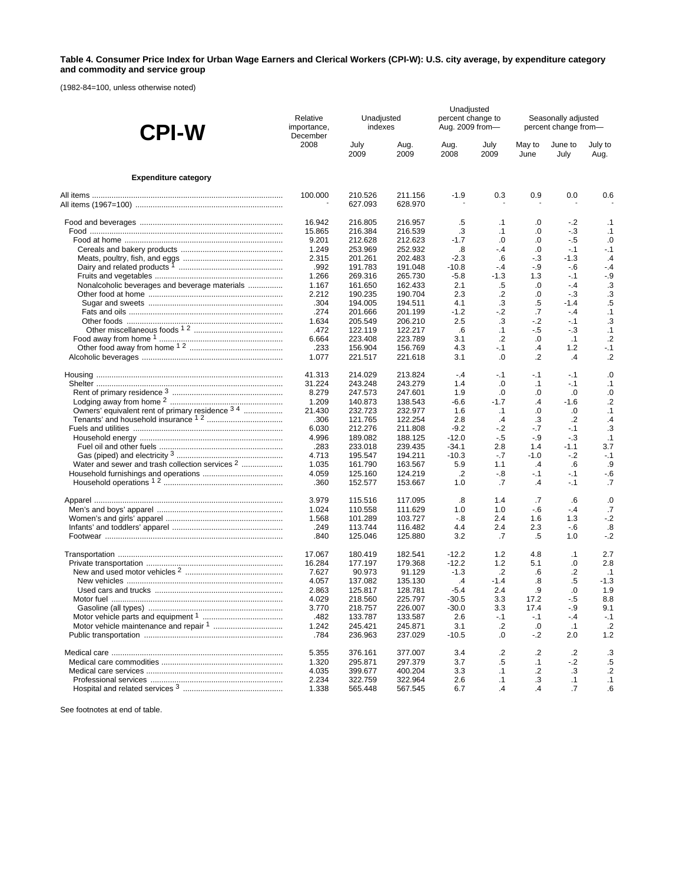### **Table 4. Consumer Price Index for Urban Wage Earners and Clerical Workers (CPI-W): U.S. city average, by expenditure category and commodity and service group**

(1982-84=100, unless otherwise noted)

| <b>CPI-W</b>                                               | Relative<br>importance, | Unadjusted<br>indexes |                    | Unadjusted<br>percent change to<br>Aug. 2009 from- |                | Seasonally adjusted<br>percent change from- |                 |                 |  |
|------------------------------------------------------------|-------------------------|-----------------------|--------------------|----------------------------------------------------|----------------|---------------------------------------------|-----------------|-----------------|--|
|                                                            | December<br>2008        | July<br>2009          | Aug.<br>2009       | Aug.<br>2008                                       | July<br>2009   | May to<br>June                              | June to<br>July | July to<br>Aug. |  |
| <b>Expenditure category</b>                                |                         |                       |                    |                                                    |                |                                             |                 |                 |  |
|                                                            | 100.000                 | 210.526               | 211.156            | $-1.9$                                             | 0.3            | 0.9                                         | 0.0             | 0.6             |  |
|                                                            |                         | 627.093               | 628.970            |                                                    |                |                                             |                 |                 |  |
|                                                            | 16.942                  | 216.805               | 216.957            | .5                                                 | $\cdot$ 1      | .0                                          | $-2$            | $\cdot$ 1       |  |
|                                                            | 15.865                  | 216.384               | 216.539            | .3                                                 | $\cdot$ 1      | .0                                          | $-3$            | $\cdot$ 1       |  |
|                                                            | 9.201                   | 212.628               | 212.623            | $-1.7$                                             | .0             | .0                                          | - 5             | .0              |  |
|                                                            | 1.249                   | 253.969               | 252.932            | .8                                                 | $-4$           | .0                                          | $-1$            | $-.1$           |  |
|                                                            | 2.315                   | 201.261               | 202.483            | $-2.3$                                             | .6             | $-3$                                        | $-1.3$          | $\cdot$         |  |
|                                                            | .992                    | 191.783               | 191.048            | $-10.8$                                            | $-4$           | $-9$                                        | $-6$            | $-4$            |  |
|                                                            | 1.266                   | 269.316               | 265.730            | $-5.8$                                             | $-1.3$         | 1.3                                         | $-1$            | $-9$            |  |
| Nonalcoholic beverages and beverage materials              | 1.167                   | 161.650               | 162.433            | 2.1                                                | .5             | .0                                          | $-4$            | .3              |  |
|                                                            | 2.212                   | 190.235               | 190.704            | 2.3                                                | .2             | .0                                          | $-3$            | .3              |  |
|                                                            | .304                    | 194.005               | 194.511            | 4.1                                                | $\cdot$ 3      | .5                                          | $-1.4$          | .5              |  |
|                                                            | .274                    | 201.666               | 201.199            | $-1.2$                                             | -.2            | .7                                          | $-4$            | .1              |  |
|                                                            | 1.634                   | 205.549               | 206.210            | 2.5                                                | .3             | $-2$                                        | $-1$            | .3              |  |
|                                                            | .472                    | 122.119               | 122.217            | .6                                                 | $\cdot$ 1      | - 5                                         | $-3$            | .1              |  |
|                                                            | 6.664                   | 223.408               | 223.789            | 3.1                                                | $\cdot$ .2     | .0                                          | $\cdot$ 1       | $\cdot$         |  |
|                                                            | .233                    | 156.904               | 156.769            | 4.3                                                | $-.1$          | $\cdot$                                     | 1.2             | $-1$            |  |
|                                                            | 1.077                   | 221.517               | 221.618            | 3.1                                                | $\cdot$        | .2                                          | $\cdot$ 4       | $\cdot$         |  |
|                                                            | 41.313                  | 214.029               | 213.824            | $-4$                                               | $-.1$          | $-1$                                        | $-1$            | $\cdot 0$       |  |
|                                                            | 31.224                  | 243.248               | 243.279            | 1.4                                                | .0             | $\cdot$ 1                                   | $-1$            | $\cdot$ 1       |  |
|                                                            | 8.279                   | 247.573               | 247.601            | 1.9                                                | $\cdot$        | .0                                          | $\cdot 0$       | $\cdot 0$       |  |
|                                                            | 1.209                   | 140.873               | 138.543            | $-6.6$                                             | $-1.7$         | .4                                          | $-1.6$          | $\cdot$         |  |
| Owners' equivalent rent of primary residence 3 4           | 21.430                  | 232.723               | 232.977            | 1.6                                                | $\cdot$ 1      | .0                                          | $\cdot 0$       | $\cdot$ 1       |  |
|                                                            | .306                    | 121.765               | 122.254            | 2.8                                                | $\cdot$        | .3                                          | $\cdot$         | $\cdot$         |  |
|                                                            | 6.030                   | 212.276               | 211.808            | $-9.2$                                             | $-2$           | $-.7$                                       | $-1$            | .3              |  |
|                                                            | 4.996                   | 189.082               | 188.125            | $-12.0$                                            | $-.5$          | -.9                                         | $-3$            | $\cdot$ 1       |  |
|                                                            | .283                    | 233.018               | 239.435            | $-34.1$                                            | 2.8            | 1.4                                         | $-1.1$          | 3.7             |  |
|                                                            | 4.713                   | 195.547               | 194.211            | $-10.3$                                            | $-.7$          | $-1.0$                                      | $-2$            | $-.1$           |  |
| Water and sewer and trash collection services <sup>2</sup> | 1.035                   | 161.790               | 163.567            | 5.9                                                | 1.1            | $\cdot$ 4                                   | .6              | .9              |  |
|                                                            | 4.059<br>.360           | 125.160<br>152.577    | 124.219<br>153.667 | $\cdot$<br>1.0                                     | -.8<br>.7      | -.1<br>.4                                   | $-1$<br>$-1$    | - 6<br>.7       |  |
|                                                            | 3.979                   |                       |                    |                                                    |                |                                             |                 |                 |  |
|                                                            | 1.024                   | 115.516<br>110.558    | 117.095<br>111.629 | .8<br>1.0                                          | 1.4<br>1.0     | .7<br>$-6$                                  | .6<br>$-4$      | .0<br>.7        |  |
|                                                            | 1.568                   | 101.289               | 103.727            | $-.8$                                              | 2.4            | 1.6                                         | 1.3             | $-2$            |  |
|                                                            | .249                    | 113.744               | 116.482            | 4.4                                                | 2.4            | 2.3                                         | - 6             | .8              |  |
|                                                            | .840                    | 125.046               | 125.880            | 3.2                                                | .7             | .5                                          | 1.0             | $-.2$           |  |
|                                                            | 17.067                  | 180.419               | 182.541            | $-12.2$                                            | 1.2            | 4.8                                         | $\cdot$ 1       | 2.7             |  |
|                                                            | 16.284                  | 177.197               | 179.368            | $-12.2$                                            | 1.2            | 5.1                                         | .0              | 2.8             |  |
|                                                            | 7.627                   | 90.973                | 91.129             | $-1.3$                                             | $\cdot$        | .6                                          | .2              | $\cdot$ 1       |  |
|                                                            | 4.057                   | 137.082               | 135.130            | $\cdot$                                            | $-1.4$         | .8                                          | .5              | $-1.3$          |  |
|                                                            | 2.863                   | 125.817               | 128.781            | $-5.4$                                             | 2.4            | .9                                          | .0              | 1.9             |  |
|                                                            | 4.029                   | 218.560               | 225.797            | $-30.5$                                            | 3.3            | 17.2                                        | $-.5$           | 8.8             |  |
|                                                            | 3.770                   | 218.757               | 226.007            | $-30.0$                                            | 3.3            | 17.4                                        | -.9             | 9.1             |  |
|                                                            | .482                    | 133.787               | 133.587            | 2.6                                                | $-.1$          | $-.1$                                       | $-4$            | $-.1$           |  |
|                                                            | 1.242                   | 245.421               | 245.871            | 3.1                                                | $\cdot$        | .0                                          | $\cdot$ 1       | $\cdot$         |  |
|                                                            | .784                    | 236.963               | 237.029            | $-10.5$                                            | .0             | $-.2$                                       | 2.0             | $1.2$           |  |
|                                                            | 5.355                   | 376.161               | 377.007            | 3.4                                                | .2             | $\cdot$                                     | .2              | .3              |  |
|                                                            | 1.320                   | 295.871               | 297.379            | 3.7                                                | .5             | $\cdot$ 1                                   | $-2$            | $.5\,$          |  |
|                                                            | 4.035                   | 399.677               | 400.204            | 3.3                                                | $\cdot$ 1      | $\cdot$                                     | .3              | $\cdot$         |  |
|                                                            | 2.234                   | 322.759               | 322.964            | 2.6                                                | $\cdot$ 1      | .3                                          | $\cdot$ 1       | $\cdot$ 1       |  |
|                                                            | 1.338                   | 565.448               | 567.545            | 6.7                                                | $\overline{A}$ | $\overline{A}$                              | .7              | .6              |  |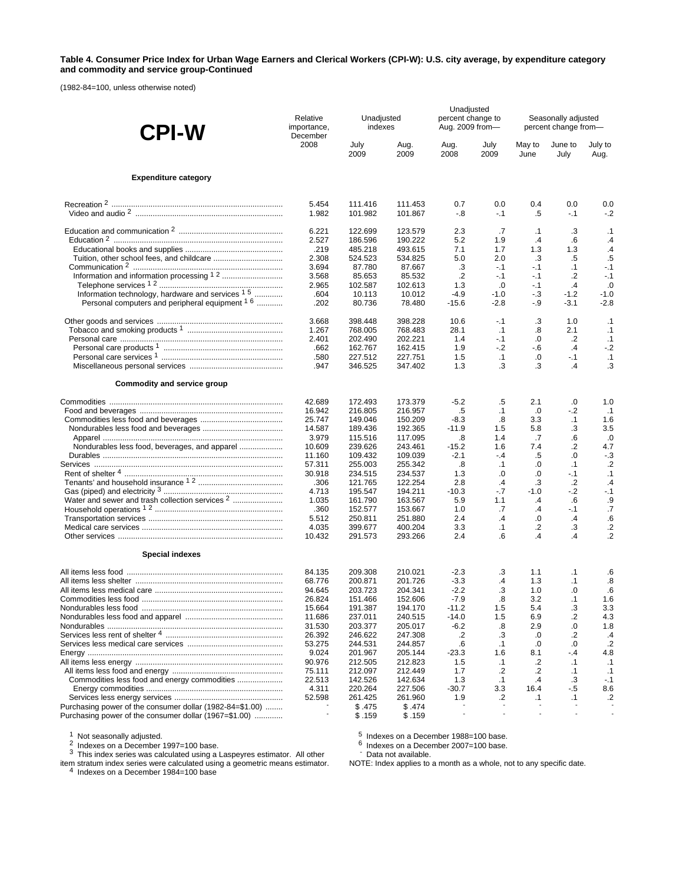#### **Table 4. Consumer Price Index for Urban Wage Earners and Clerical Workers (CPI-W): U.S. city average, by expenditure category and commodity and service group-Continued**

(1982-84=100, unless otherwise noted)

| <b>CPI-W</b>                                                | Relative<br>importance,<br>December | Unadjusted<br>indexes |                    | Unadjusted<br>percent change to<br>Aug. 2009 from- |                 |                   | Seasonally adjusted<br>percent change from- |                        |
|-------------------------------------------------------------|-------------------------------------|-----------------------|--------------------|----------------------------------------------------|-----------------|-------------------|---------------------------------------------|------------------------|
|                                                             | 2008                                | July<br>2009          | Aug.<br>2009       | Aug.<br>2008                                       | July<br>2009    | May to<br>June    | June to<br>July                             | July to<br>Aug.        |
| <b>Expenditure category</b>                                 |                                     |                       |                    |                                                    |                 |                   |                                             |                        |
|                                                             | 5.454                               | 111.416               | 111.453            | 0.7                                                | 0.0             | 0.4               | 0.0                                         | 0.0                    |
|                                                             | 1.982                               | 101.982               | 101.867            | -.8                                                | $-.1$           | .5                | $-.1$                                       | $-2$                   |
|                                                             | 6.221<br>2.527                      | 122.699<br>186.596    | 123.579<br>190.222 | 2.3<br>5.2                                         | .7<br>1.9       | .1<br>$\cdot$ 4   | .3<br>$6^{\circ}$                           | .1<br>$\mathcal{A}$    |
|                                                             | .219                                | 485.218               | 493.615            | 7.1                                                | 1.7             | 1.3               | 1.3                                         | $\cdot$                |
|                                                             | 2.308                               | 524.523               | 534.825            | 5.0                                                | 2.0             | .3                | .5                                          | .5                     |
|                                                             | 3.694<br>3.568                      | 87.780<br>85.653      | 87.667<br>85.532   | .3<br>$\cdot$                                      | $-.1$<br>$-1$   | $-.1$<br>-.1      | $\cdot$ 1<br>.2                             | $-.1$<br>$-.1$         |
|                                                             | 2.965                               | 102.587               | 102.613            | 1.3                                                | .0              | $-.1$             | $\cdot$                                     | .0                     |
| Information technology, hardware and services <sup>15</sup> | .604                                | 10.113                | 10.012             | -4.9                                               | -1.0            | - 3               | $-1.2$                                      | $-1.0$                 |
| Personal computers and peripheral equipment <sup>1 6</sup>  | .202                                | 80.736                | 78.480             | $-15.6$                                            | $-2.8$          | - 9               | $-3.1$                                      | $-2.8$                 |
|                                                             | 3.668                               | 398.448               | 398.228            | 10.6                                               | $-1$            | .3                | 1.0                                         | .1                     |
|                                                             | 1.267                               | 768.005               | 768.483            | 28.1                                               | .1              | .8                | 2.1                                         | $\cdot$ 1              |
|                                                             | 2.401                               | 202.490               | 202.221            | 1.4                                                | -.1             | .0                | $\cdot$                                     | .1                     |
|                                                             | .662<br>.580                        | 162.767<br>227.512    | 162.415<br>227.751 | 1.9<br>1.5                                         | $-2$<br>.1      | $-6$<br>.0        | $\cdot$<br>$-1$                             | $-.2$<br>.1            |
|                                                             | .947                                | 346.525               | 347.402            | 1.3                                                | .3              | .3                | .4                                          | .3                     |
| Commodity and service group                                 |                                     |                       |                    |                                                    |                 |                   |                                             |                        |
|                                                             | 42.689                              | 172.493               | 173.379            | $-5.2$                                             | .5              | 2.1               | .0                                          | 1.0                    |
|                                                             | 16.942                              | 216.805               | 216.957            | .5                                                 | $\cdot$ 1       | .0                | $-2$                                        | $\cdot$ 1              |
|                                                             | 25.747                              | 149.046               | 150.209            | $-8.3$                                             | .8              | 3.3               | $\cdot$ 1                                   | 1.6                    |
|                                                             | 14.587<br>3.979                     | 189.436<br>115.516    | 192.365<br>117.095 | $-11.9$<br>.8                                      | 1.5<br>1.4      | 5.8<br>.7         | .3<br>.6                                    | 3.5<br>.0              |
|                                                             | 10.609                              | 239.626               | 243.461            | $-15.2$                                            | 1.6             | 7.4               | .2                                          | 4.7                    |
|                                                             | 11.160                              | 109.432               | 109.039            | $-2.1$                                             | $-4$            | .5                | .0                                          | $-3$                   |
|                                                             | 57.311                              | 255.003               | 255.342            | .8                                                 | .1              | .0                | $\cdot$ 1                                   | $\cdot$                |
|                                                             | 30.918                              | 234.515               | 234.537            | 1.3                                                | .0              | .0                | $-1$                                        | $\cdot$ 1              |
|                                                             | .306                                | 121.765               | 122.254            | 2.8                                                | .4              | .3                | $\cdot$                                     | $\cdot$                |
| Water and sewer and trash collection services <sup>2</sup>  | 4.713<br>1.035                      | 195.547<br>161.790    | 194.211<br>163.567 | $-10.3$<br>5.9                                     | $-7$<br>1.1     | $-1.0$<br>$\cdot$ | $-2$<br>.6                                  | $-.1$<br>.9            |
|                                                             | .360                                | 152.577               | 153.667            | 1.0                                                | .7              | .4                | $-.1$                                       | .7                     |
|                                                             | 5.512                               | 250.811               | 251.880            | 2.4                                                | .4              | .0                | $\cdot$                                     | .6                     |
|                                                             | 4.035                               | 399.677               | 400.204            | 3.3                                                | $\cdot$ 1       | .2                | .3                                          | $\cdot$                |
|                                                             | 10.432                              | 291.573               | 293.266            | 2.4                                                | .6              | $\overline{A}$    | $\overline{A}$                              | $\cdot$                |
| <b>Special indexes</b>                                      |                                     |                       |                    |                                                    |                 |                   |                                             |                        |
|                                                             | 84.135                              | 209.308               | 210.021            | $-2.3$                                             | .3              | 1.1               | $\cdot$ 1                                   | .6                     |
|                                                             | 68.776                              | 200.871               | 201.726            | $-3.3$                                             | $\cdot$         | 1.3               | $\cdot$ 1                                   | $\boldsymbol{.8}$      |
|                                                             | 94.645<br>26.824                    | 203.723<br>151.466    | 204.341<br>152.606 | $-2.2$<br>$-7.9$                                   | .3<br>.8        | 1.0<br>3.2        | .0<br>$\cdot$ 1                             | $6^{\circ}$<br>1.6     |
|                                                             | 15.664                              | 191.387               | 194.170            | -11.2                                              | 1.5             | 5.4               | .3                                          | 3.3                    |
|                                                             | 11.686                              | 237.011               | 240.515            | $-14.0$                                            | 1.5             | 6.9               | .2                                          | 4.3                    |
|                                                             | 31.530                              | 203.377               | 205.017            | $-6.2$                                             | .8              | 2.9               | 0.                                          | 1.8                    |
|                                                             | 26.392                              | 246.622               | 247.308            | .2                                                 | .3              | .0                | .2                                          | .4                     |
|                                                             | 53.275                              | 244.531               | 244.857            | .6                                                 | $\cdot$ 1       | .0                | .0                                          | .2                     |
|                                                             | 9.024                               | 201.967               | 205.144            | $-23.3$                                            | 1.6             | 8.1               | - 4                                         | 4.8                    |
|                                                             | 90.976<br>75.111                    | 212.505<br>212.097    | 212.823<br>212.449 | 1.5<br>1.7                                         | $\cdot$ 1<br>.2 | .2<br>$\cdot$     | $\cdot$ 1<br>$\cdot$ 1                      | $\cdot$ 1<br>$\cdot$ 1 |
|                                                             | 22.513                              | 142.526               | 142.634            | 1.3                                                | $\cdot$ 1       | $\cdot$           | .3                                          | $-.1$                  |
|                                                             | 4.311                               | 220.264               | 227.506            | $-30.7$                                            | 3.3             | 16.4              | $-.5$                                       | 8.6                    |
|                                                             | 52.598                              | 261.425               | 261.960            | 1.9                                                | .2              | $\cdot$ 1         | $\cdot$ 1                                   | $\cdot$                |
| Purchasing power of the consumer dollar (1982-84=\$1.00)    |                                     | \$.475                | \$.474             |                                                    |                 |                   |                                             |                        |
| Purchasing power of the consumer dollar (1967=\$1.00)       |                                     | \$.159                | \$.159             |                                                    |                 |                   |                                             |                        |

<sup>1</sup> Not seasonally adjusted.<br><sup>2</sup> Indexes on a December 1997=100 base.<br><sup>3</sup> This index series was calculated using a Laspeyres estimator. All other

item stratum index series were calculated using a geometric means estimator.<br><sup>4</sup> Indexes on a December 1984=100 base

 $5$  Indexes on a December 1988=100 base.<br>6 Indexes on a December 2007=100 base.<br>- Data not available.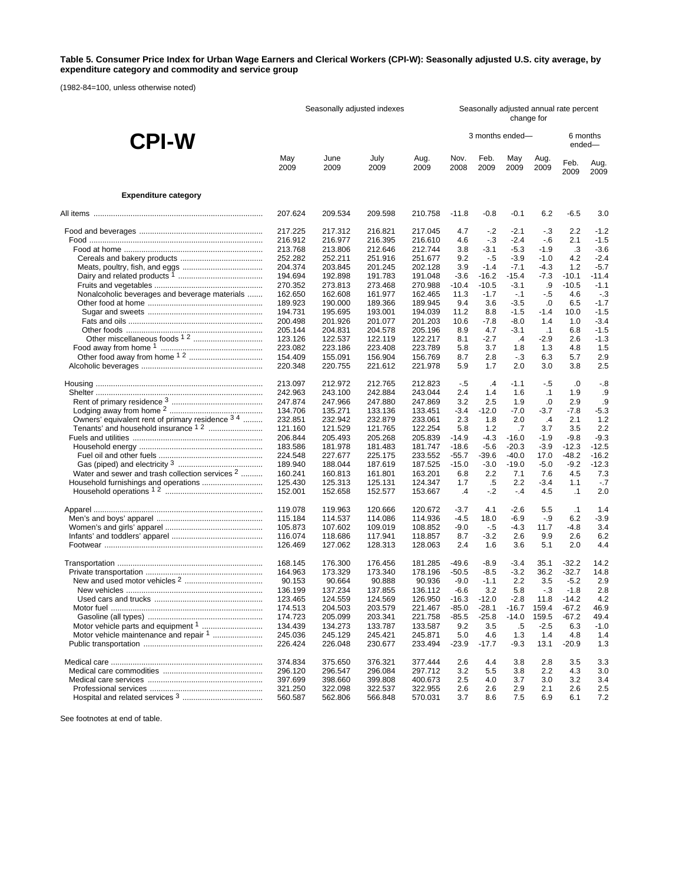### **Table 5. Consumer Price Index for Urban Wage Earners and Clerical Workers (CPI-W): Seasonally adjusted U.S. city average, by expenditure category and commodity and service group**

(1982-84=100, unless otherwise noted)

|                                                            | Seasonally adjusted indexes |                    |                    |                    |                    | Seasonally adjusted annual rate percent<br>change for |                  |               |                   |              |  |
|------------------------------------------------------------|-----------------------------|--------------------|--------------------|--------------------|--------------------|-------------------------------------------------------|------------------|---------------|-------------------|--------------|--|
| <b>CPI-W</b>                                               |                             |                    |                    |                    |                    | 3 months ended-                                       |                  |               | ended-            | 6 months     |  |
|                                                            | May<br>2009                 | June<br>2009       | July<br>2009       | Aug.<br>2009       | Nov.<br>2008       | Feb.<br>2009                                          | May<br>2009      | Aug.<br>2009  | Feb.<br>2009      | Aug.<br>2009 |  |
| <b>Expenditure category</b>                                |                             |                    |                    |                    |                    |                                                       |                  |               |                   |              |  |
|                                                            | 207.624                     | 209.534            | 209.598            | 210.758            | $-11.8$            | $-0.8$                                                | $-0.1$           | 6.2           | $-6.5$            | 3.0          |  |
|                                                            | 217.225                     | 217.312            | 216.821            | 217.045            | 4.7                | $-2$                                                  | $-2.1$           | - 3           | 2.2               | $-1.2$       |  |
|                                                            | 216.912                     | 216.977            | 216.395            | 216.610            | 4.6                | $-3$                                                  | $-2.4$           | $-6$          | 2.1               | $-1.5$       |  |
|                                                            | 213.768                     | 213.806            | 212.646            | 212.744            | 3.8                | -3.1                                                  | $-5.3$           | $-1.9$        | .3                | $-3.6$       |  |
|                                                            | 252.282                     | 252.211            | 251.916            | 251.677            | 9.2                | $-5$                                                  | $-3.9$           | $-1.0$        | 4.2               | $-2.4$       |  |
|                                                            | 204.374                     | 203.845            | 201.245            | 202.128            | 3.9                | $-1.4$                                                | $-7.1$           | $-4.3$        | 1.2               | $-5.7$       |  |
|                                                            | 194.694                     | 192.898            | 191.783            | 191.048            | $-3.6$             | $-16.2$                                               | $-15.4$          | $-7.3$        | $-10.1$           | $-11.4$      |  |
|                                                            | 270.352                     | 273.813            | 273.468            | 270.988            | $-10.4$            | $-10.5$                                               | $-3.1$           | .9            | $-10.5$           | $-1.1$       |  |
| Nonalcoholic beverages and beverage materials              | 162.650                     | 162.608            | 161.977            | 162.465            | 11.3               | $-1.7$                                                | $-.1$            | $-.5$         | 4.6               | $-.3$        |  |
|                                                            | 189.923                     | 190.000            | 189.366            | 189.945            | 9.4                | 3.6                                                   | $-3.5$           | .0            | 6.5               | $-1.7$       |  |
|                                                            | 194.731                     | 195.695            | 193.001            | 194.039            | 11.2               | 8.8                                                   | $-1.5$           | $-1.4$        | 10.0              | $-1.5$       |  |
|                                                            | 200.498                     | 201.926            | 201.077            | 201.203            | 10.6               | $-7.8$                                                | $-8.0$           | 1.4           | 1.0               | $-3.4$       |  |
|                                                            | 205.144                     | 204.831            | 204.578            | 205.196            | 8.9                | 4.7                                                   | $-3.1$           | $\cdot$ 1     | 6.8               | $-1.5$       |  |
|                                                            | 123.126                     | 122.537            | 122.119            | 122.217            | 8.1                | $-2.7$                                                | $\cdot$          | $-2.9$        | 2.6               | $-1.3$       |  |
|                                                            | 223.082                     | 223.186            | 223.408            | 223.789            | 5.8                | 3.7                                                   | 1.8              | 1.3           | 4.8               | 1.5          |  |
|                                                            | 154.409                     | 155.091            | 156.904            | 156.769            | 8.7                | 2.8                                                   | $-.3$            | 6.3           | 5.7               | 2.9          |  |
|                                                            | 220.348                     | 220.755            | 221.612            | 221.978            | 5.9                | 1.7                                                   | 2.0              | 3.0           | 3.8               | 2.5          |  |
|                                                            | 213.097                     | 212.972            | 212.765            | 212.823            | $-.5$              | $\cdot$                                               | $-1.1$           | $-.5$         | .0                | $-.8$        |  |
|                                                            | 242.963                     | 243.100            | 242.884            | 243.044            | 2.4                | 1.4                                                   | 1.6              | $\cdot$ 1     | 1.9               | .9           |  |
|                                                            | 247.874                     | 247.966            | 247.880            | 247.869            | 3.2                | 2.5                                                   | 1.9              | .0            | 2.9               | .9           |  |
|                                                            | 134.706                     | 135.271            | 133.136            | 133.451            | $-3.4$             | $-12.0$                                               | $-7.0$           | $-3.7$        | $-7.8$            | $-5.3$       |  |
| Owners' equivalent rent of primary residence 3 4           | 232.851                     | 232.942            | 232.879            | 233.061            | 2.3                | 1.8                                                   | 2.0              | $\cdot$       | 2.1               | 1.2          |  |
|                                                            | 121.160                     | 121.529            | 121.765            | 122.254            | 5.8                | 1.2                                                   | .7               | 3.7           | 3.5               | 2.2          |  |
|                                                            | 206.844                     | 205.493            | 205.268            | 205.839            | $-14.9$            | $-4.3$                                                | $-16.0$          | $-1.9$        | $-9.8$            | $-9.3$       |  |
|                                                            | 183.586                     | 181.978            | 181.483            | 181.747            | $-18.6$            | $-5.6$                                                | $-20.3$          | $-3.9$        | $-12.3$           | $-12.5$      |  |
|                                                            | 224.548                     | 227.677            | 225.175            | 233.552            | $-55.7$            | $-39.6$                                               | $-40.0$          | 17.0          | $-48.2$           | $-16.2$      |  |
|                                                            | 189.940                     | 188.044            | 187.619            | 187.525            | $-15.0$            | $-3.0$                                                | $-19.0$          | $-5.0$        | $-9.2$            | $-12.3$      |  |
| Water and sewer and trash collection services <sup>2</sup> | 160.241                     | 160.813            | 161.801            | 163.201            | 6.8                | 2.2                                                   | 7.1              | 7.6           | 4.5               | 7.3          |  |
|                                                            | 125.430<br>152.001          | 125.313<br>152.658 | 125.131<br>152.577 | 124.347<br>153.667 | 1.7<br>.4          | .5<br>$-2$                                            | 2.2<br>$-4$      | $-3.4$<br>4.5 | 1.1<br>$\cdot$ 1  | $-.7$<br>2.0 |  |
|                                                            |                             |                    |                    |                    |                    |                                                       |                  |               |                   |              |  |
|                                                            | 119.078                     | 119.963            | 120.666            | 120.672            | $-3.7$             | 4.1                                                   | $-2.6$           | 5.5           | $\cdot$ 1         | 1.4          |  |
|                                                            | 115.184                     | 114.537            | 114.086            | 114.936            | -4.5               | 18.0                                                  | -6.9             | $-.9$         | 6.2               | $-3.9$       |  |
|                                                            | 105.873<br>116.074          | 107.602<br>118.686 | 109.019<br>117.941 | 108.852<br>118.857 | $-9.0$<br>8.7      | $-5$<br>$-3.2$                                        | $-4.3$<br>2.6    | 11.7<br>9.9   | $-4.8$<br>2.6     | 3.4<br>6.2   |  |
|                                                            | 126.469                     | 127.062            | 128.313            | 128.063            | 2.4                | 1.6                                                   | 3.6              | 5.1           | 2.0               | 4.4          |  |
|                                                            | 168.145                     |                    |                    |                    |                    |                                                       |                  |               |                   |              |  |
|                                                            |                             | 176.300            | 176.456<br>173.340 | 181.285<br>178.196 | $-49.6$<br>$-50.5$ | $-8.9$<br>$-8.5$                                      | $-3.4$<br>$-3.2$ | 35.1          | $-32.2$           | 14.2         |  |
|                                                            | 164.963<br>90.153           | 173.329<br>90.664  | 90.888             | 90.936             | $-9.0$             | $-1.1$                                                | 2.2              | 36.2<br>3.5   | $-32.7$<br>$-5.2$ | 14.8<br>2.9  |  |
|                                                            | 136.199                     | 137.234            | 137.855            | 136.112            | $-6.6$             | 3.2                                                   | 5.8              | $-3$          | $-1.8$            | 2.8          |  |
|                                                            | 123.465                     | 124.559            | 124.569            | 126.950            | $-16.3$            | $-12.0$                                               | $-2.8$           | 11.8          | $-14.2$           | 4.2          |  |
|                                                            | 174.513                     | 204.503            | 203.579            | 221.467            | $-85.0$            | $-28.1$                                               | $-16.7$          | 159.4         | $-67.2$           | 46.9         |  |
|                                                            | 174.723                     | 205.099            | 203.341            | 221.758            | -85.5              | $-25.8$                                               | $-14.0$          | 159.5         | -67.2             | 49.4         |  |
|                                                            | 134.439                     | 134.273            | 133.787            | 133.587            | 9.2                | 3.5                                                   | .5               | $-2.5$        | 6.3               | $-1.0$       |  |
| Motor vehicle maintenance and repair 1                     | 245.036                     | 245.129            | 245.421            | 245.871            | 5.0                | 4.6                                                   | 1.3              | 1.4           | 4.8               | 1.4          |  |
|                                                            | 226.424                     | 226.048            | 230.677            | 233.494            | $-23.9$            | $-17.7$                                               | $-9.3$           | 13.1          | $-20.9$           | 1.3          |  |
|                                                            | 374.834                     | 375.650            | 376.321            | 377.444            | 2.6                | 4.4                                                   | 3.8              | 2.8           | 3.5               | 3.3          |  |
|                                                            | 296.120                     | 296.547            | 296.084            | 297.712            | 3.2                | 5.5                                                   | 3.8              | 2.2           | 4.3               | 3.0          |  |
|                                                            | 397.699                     | 398.660            | 399.808            | 400.673            | 2.5                | 4.0                                                   | 3.7              | 3.0           | 3.2               | 3.4          |  |
|                                                            | 321.250                     | 322.098            | 322.537            | 322.955            | 2.6                | 2.6                                                   | 2.9              | 2.1           | 2.6               | 2.5          |  |
|                                                            | 560.587                     | 562.806            | 566.848            | 570.031            | 3.7                | 8.6                                                   | 7.5              | 6.9           | 6.1               | 7.2          |  |
|                                                            |                             |                    |                    |                    |                    |                                                       |                  |               |                   |              |  |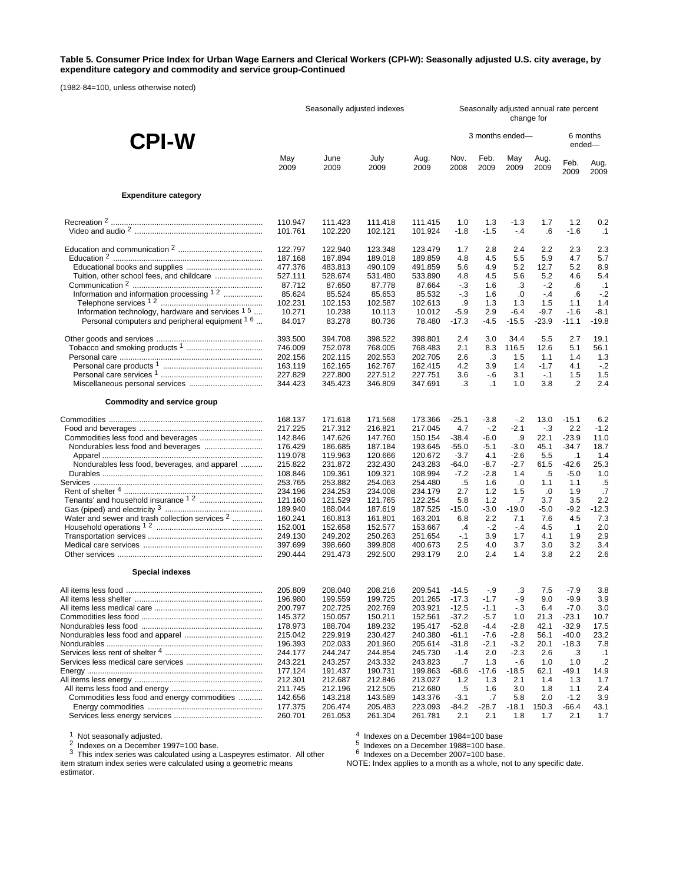#### **Table 5. Consumer Price Index for Urban Wage Earners and Clerical Workers (CPI-W): Seasonally adjusted U.S. city average, by expenditure category and commodity and service group-Continued**

(1982-84=100, unless otherwise noted)

|                                                                                                                           | Seasonally adjusted indexes                                  |                                                              |                                                              |                                                              |                                           | Seasonally adjusted annual rate percent<br>change for |                                      |                                           |                                       |                                               |  |
|---------------------------------------------------------------------------------------------------------------------------|--------------------------------------------------------------|--------------------------------------------------------------|--------------------------------------------------------------|--------------------------------------------------------------|-------------------------------------------|-------------------------------------------------------|--------------------------------------|-------------------------------------------|---------------------------------------|-----------------------------------------------|--|
| <b>CPI-W</b>                                                                                                              |                                                              |                                                              |                                                              |                                                              |                                           | 3 months ended-                                       |                                      |                                           | 6 months<br>ended-                    |                                               |  |
|                                                                                                                           | May                                                          | June                                                         | July                                                         | Aug.                                                         | Nov.                                      | Feb.                                                  | May                                  | Aug.                                      | Feb.                                  | Aug.                                          |  |
|                                                                                                                           | 2009                                                         | 2009                                                         | 2009                                                         | 2009                                                         | 2008                                      | 2009                                                  | 2009                                 | 2009                                      | 2009                                  | 2009                                          |  |
| <b>Expenditure category</b>                                                                                               |                                                              |                                                              |                                                              |                                                              |                                           |                                                       |                                      |                                           |                                       |                                               |  |
|                                                                                                                           | 110.947                                                      | 111.423                                                      | 111.418                                                      | 111.415                                                      | 1.0                                       | 1.3                                                   | -1.3                                 | 1.7                                       | 1.2                                   | 0.2                                           |  |
|                                                                                                                           | 101.761                                                      | 102.220                                                      | 102.121                                                      | 101.924                                                      | $-1.8$                                    | $-1.5$                                                | $-4$                                 | $6^{\circ}$                               | $-1.6$                                | $\cdot$ 1                                     |  |
| Tuition, other school fees, and childcare<br>Information and information processing 1.2                                   | 122.797<br>187.168<br>477.376<br>527.111<br>87.712<br>85.624 | 122.940<br>187.894<br>483.813<br>528.674<br>87.650<br>85.524 | 123.348<br>189.018<br>490.109<br>531.480<br>87.778<br>85.653 | 123.479<br>189.859<br>491.859<br>533.890<br>87.664<br>85.532 | 1.7<br>4.8<br>5.6<br>4.8<br>$-3$<br>$-.3$ | 2.8<br>45<br>4.9<br>45<br>1.6<br>1.6                  | 2.4<br>5.5<br>5.2<br>5.6<br>.3<br>.0 | 2.2<br>5.9<br>12.7<br>5.2<br>$-2$<br>$-4$ | 2.3<br>4.7<br>5.2<br>4.6<br>.6<br>.6  | 2.3<br>5.7<br>8.9<br>5.4<br>$\cdot$ 1<br>$-2$ |  |
| Information technology, hardware and services <sup>15</sup><br>Personal computers and peripheral equipment <sup>1 6</sup> | 102.231<br>10.271<br>84.017                                  | 102.153<br>10.238<br>83.278                                  | 102.587<br>10.113<br>80.736                                  | 102.613<br>10.012<br>78.480                                  | .9<br>$-5.9$<br>$-17.3$                   | 1.3<br>2.9<br>$-4.5$                                  | 1.3<br>$-6.4$<br>$-15.5$             | 1.5<br>$-9.7$<br>$-23.9$                  | 1.1<br>$-1.6$<br>$-11.1$              | 1.4<br>$-8.1$<br>$-19.8$                      |  |
|                                                                                                                           | 393.500                                                      | 394.708                                                      | 398.522                                                      | 398.801                                                      | 2.4                                       | 3.0                                                   | 34.4                                 | 5.5                                       | 2.7                                   | 19.1                                          |  |
|                                                                                                                           | 746.009                                                      | 752.078                                                      | 768.005                                                      | 768.483                                                      | 2.1                                       | 8.3                                                   | 116.5                                | 12.6                                      | 5.1                                   | 56.1                                          |  |
|                                                                                                                           | 202.156                                                      | 202.115                                                      | 202.553                                                      | 202.705                                                      | 2.6                                       | .3                                                    | 1.5                                  | 1.1                                       | 1.4                                   | 1.3                                           |  |
|                                                                                                                           | 163.119                                                      | 162.165                                                      | 162.767                                                      | 162.415                                                      | 4.2                                       | 3.9                                                   | 1.4                                  | $-1.7$                                    | 4.1                                   | $-2$                                          |  |
|                                                                                                                           | 227.829                                                      | 227.800                                                      | 227.512                                                      | 227.751                                                      | 3.6                                       | - 6                                                   | 3.1                                  | $-.1$                                     | 1.5                                   | 1.5                                           |  |
|                                                                                                                           | 344.423                                                      | 345.423                                                      | 346.809                                                      | 347.691                                                      | .3                                        | $\cdot$ 1                                             | 1.0                                  | 3.8                                       | .2                                    | 2.4                                           |  |
| Commodity and service group                                                                                               |                                                              |                                                              |                                                              |                                                              |                                           |                                                       |                                      |                                           |                                       |                                               |  |
|                                                                                                                           | 168.137                                                      | 171.618                                                      | 171.568                                                      | 173.366                                                      | $-25.1$                                   | $-3.8$                                                | $-2$                                 | 13.0                                      | $-15.1$                               | 6.2                                           |  |
|                                                                                                                           | 217.225                                                      | 217.312                                                      | 216.821                                                      | 217.045                                                      | 4.7                                       | $-2$                                                  | $-2.1$                               | $-3$                                      | 2.2                                   | $-1.2$                                        |  |
|                                                                                                                           | 142.846                                                      | 147.626                                                      | 147.760                                                      | 150.154                                                      | $-38.4$                                   | $-6.0$                                                | .9                                   | 22.1                                      | $-23.9$                               | 11.0                                          |  |
|                                                                                                                           | 176.429                                                      | 186.685                                                      | 187.184                                                      | 193.645                                                      | $-55.0$                                   | $-5.1$                                                | $-3.0$                               | 45.1                                      | $-34.7$                               | 18.7                                          |  |
|                                                                                                                           | 119.078                                                      | 119.963                                                      | 120.666                                                      | 120.672                                                      | $-3.7$                                    | 4.1                                                   | $-2.6$                               | 5.5                                       | $\cdot$ 1                             | 1.4                                           |  |
| Nondurables less food, beverages, and apparel                                                                             | 215.822                                                      | 231.872                                                      | 232.430                                                      | 243.283                                                      | $-64.0$                                   | $-8.7$                                                | $-2.7$                               | 61.5                                      | $-42.6$                               | 25.3                                          |  |
|                                                                                                                           | 108.846                                                      | 109.361                                                      | 109.321                                                      | 108.994                                                      | $-7.2$                                    | $-2.8$                                                | 1.4                                  | .5                                        | $-5.0$                                | 1.0                                           |  |
|                                                                                                                           | 253.765                                                      | 253.882                                                      | 254.063                                                      | 254.480                                                      | .5                                        | 1.6                                                   | $\cdot 0$                            | 1.1                                       | 1.1                                   | .5                                            |  |
|                                                                                                                           | 234.196                                                      | 234.253                                                      | 234.008                                                      | 234.179                                                      | 2.7                                       | 1.2                                                   | 1.5                                  | .0                                        | 1.9                                   | .7                                            |  |
|                                                                                                                           | 121.160                                                      | 121.529                                                      | 121.765                                                      | 122.254                                                      | 5.8                                       | 1.2                                                   | $.7\phantom{0}$                      | 3.7                                       | 3.5                                   | 2.2                                           |  |
|                                                                                                                           | 189.940                                                      | 188.044                                                      | 187.619                                                      | 187.525                                                      | $-15.0$                                   | $-3.0$                                                | $-19.0$                              | $-5.0$                                    | $-9.2$                                | $-12.3$                                       |  |
| Water and sewer and trash collection services 2                                                                           | 160.241                                                      | 160.813                                                      | 161.801                                                      | 163.201                                                      | 6.8                                       | 2.2                                                   | 7.1                                  | 7.6                                       | 4.5                                   | 7.3                                           |  |
|                                                                                                                           | 152.001                                                      | 152.658                                                      | 152.577                                                      | 153.667                                                      | $\cdot$                                   | $-2$                                                  | $-4$                                 | 4.5                                       | $\cdot$ 1                             | 2.0                                           |  |
|                                                                                                                           | 249.130                                                      | 249.202                                                      | 250.263                                                      | 251.654                                                      | $-1$                                      | 3.9                                                   | 1.7                                  | 4.1                                       | 1.9                                   | 2.9                                           |  |
|                                                                                                                           | 397.699                                                      | 398.660                                                      | 399.808                                                      | 400.673                                                      | 2.5                                       | 4.0                                                   | 3.7                                  | 3.0                                       | 3.2                                   | 3.4                                           |  |
|                                                                                                                           | 290.444                                                      | 291.473                                                      | 292.500                                                      | 293.179                                                      | 2.0                                       | 2.4                                                   | 1.4                                  | 3.8                                       | 2.2                                   | 2.6                                           |  |
| <b>Special indexes</b>                                                                                                    |                                                              |                                                              |                                                              |                                                              |                                           |                                                       |                                      |                                           |                                       |                                               |  |
|                                                                                                                           | 205.809<br>196.980<br>200.797<br>145.372                     | 208.040<br>199.559<br>202.725<br>150.057                     | 208.216<br>199.725<br>202.769<br>150.211                     | 209.541<br>201.265 -17.3<br>203.921<br>152.561               | $-14.5$<br>$-12.5$<br>$-37.2$             | $-9$<br>$-1.7$<br>$-1.1$<br>$-5.7$                    | .3<br>$-9$<br>$-3$<br>1.0            | 7.5<br>9.0<br>6.4<br>21.3                 | $-7.9$<br>$-9.9$<br>$-7.0$<br>$-23.1$ | 3.8<br>3.9<br>3.0<br>10.7                     |  |
|                                                                                                                           | 178.973                                                      | 188.704                                                      | 189.232                                                      | 195.417                                                      | $-52.8$                                   | $-4.4$                                                | $-2.8$                               | 42.1                                      | $-32.9$                               | 17.5                                          |  |
|                                                                                                                           | 215.042                                                      | 229.919                                                      | 230.427                                                      | 240.380                                                      | $-61.1$                                   | $-7.6$                                                | $-2.8$                               | 56.1                                      | $-40.0$                               | 23.2                                          |  |
|                                                                                                                           | 196.393                                                      | 202.033                                                      | 201.960                                                      | 205.614                                                      | $-31.8$                                   | $-2.1$                                                | $-3.2$                               | 20.1                                      | $-18.3$                               | 7.8                                           |  |
|                                                                                                                           | 244.177                                                      | 244.247                                                      | 244.854                                                      | 245.730                                                      | $-1.4$                                    | 2.0                                                   | $-2.3$                               | 2.6                                       | .3                                    | $\cdot$ 1                                     |  |
|                                                                                                                           | 243.221                                                      | 243.257                                                      | 243.332                                                      | 243.823                                                      | .7                                        | 1.3                                                   | $-6$                                 | 1.0                                       | 1.0                                   | $\cdot$                                       |  |
|                                                                                                                           | 177.124                                                      | 191.437                                                      | 190.731                                                      | 199.863                                                      | $-68.6$                                   | $-17.6$                                               | $-18.5$                              | 62.1                                      | -49.1                                 | 14.9                                          |  |
|                                                                                                                           | 212.301                                                      | 212.687                                                      | 212.846                                                      | 213.027                                                      | 1.2                                       | 1.3                                                   | 2.1                                  | 1.4                                       | 1.3                                   | 1.7                                           |  |
|                                                                                                                           | 211.745                                                      | 212.196                                                      | 212.505                                                      | 212.680                                                      | .5                                        | 1.6                                                   | 3.0                                  | 1.8                                       | 1.1                                   | 2.4                                           |  |
| Commodities less food and energy commodities                                                                              | 142.656                                                      | 143.218                                                      | 143.589                                                      | 143.376                                                      | $-3.1$                                    | .7                                                    | 5.8                                  | 2.0                                       | $-1.2$                                | 3.9                                           |  |
|                                                                                                                           | 177.375                                                      | 206.474                                                      | 205.483                                                      | 223.093                                                      | -84.2                                     | $-28.7$                                               | $-18.1$                              | 150.3                                     | $-66.4$                               | 43.1                                          |  |
|                                                                                                                           | 260.701                                                      | 261.053                                                      | 261.304                                                      | 261.781                                                      | 2.1                                       | 2.1                                                   | 1.8                                  | 1.7                                       | 2.1                                   | 1.7                                           |  |

<sup>1</sup> Not seasonally adjusted.<br><sup>2</sup> Indexes on a December 1997=100 base.<br><sup>3</sup> This index series was calculated using a Laspeyres estimator. All other

 $^4$  Indexes on a December 1984=100 base<br>5 Indexes on a December 1988=100 base.<br><sup>6</sup> Indexes on a December 2007=100 base.

item stratum index series were calculated using a geometric means estimator.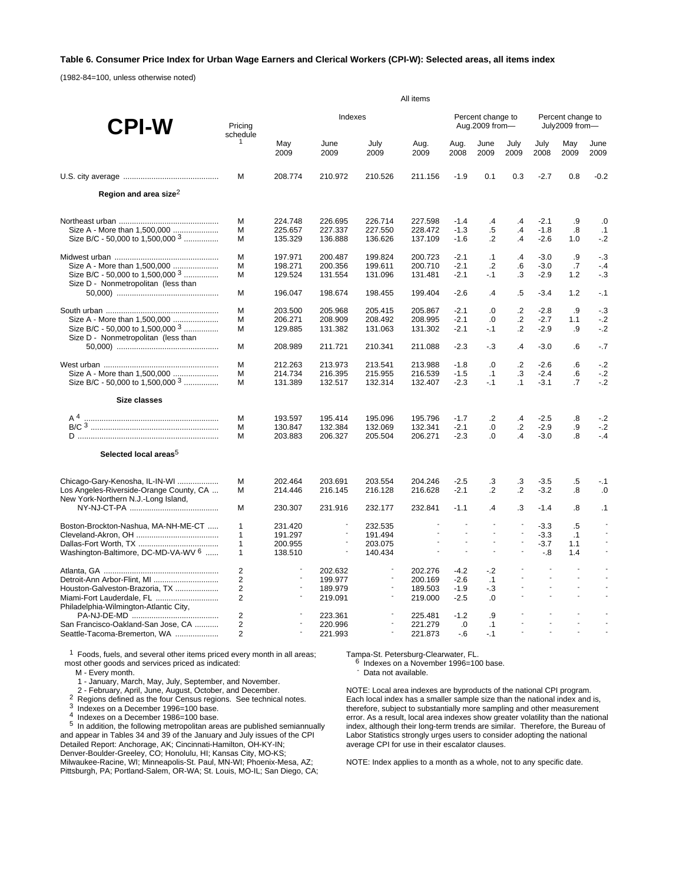### **Table 6. Consumer Price Index for Urban Wage Earners and Clerical Workers (CPI-W): Selected areas, all items index**

(1982-84=100, unless otherwise noted)

|                                                                                    | All items           |                          |                          |                                  |                    |                  |                                     |                          |                                             |                                     |              |  |
|------------------------------------------------------------------------------------|---------------------|--------------------------|--------------------------|----------------------------------|--------------------|------------------|-------------------------------------|--------------------------|---------------------------------------------|-------------------------------------|--------------|--|
| <b>CPI-W</b>                                                                       | Pricina<br>schedule |                          | Indexes                  |                                  |                    |                  | Percent change to<br>Aug.2009 from- |                          |                                             | Percent change to<br>July2009 from- |              |  |
|                                                                                    | $\mathbf{1}$        | May<br>2009              | June<br>2009             | July<br>2009                     | Aug.<br>2009       | Aug.<br>2008     | June<br>2009                        | July<br>2009             | July<br>2008                                | May<br>2009                         | June<br>2009 |  |
|                                                                                    | M                   | 208.774                  | 210.972                  | 210.526                          | 211.156            | $-1.9$           | 0.1                                 | 0.3                      | $-2.7$                                      | 0.8                                 | $-0.2$       |  |
| Region and area size <sup>2</sup>                                                  |                     |                          |                          |                                  |                    |                  |                                     |                          |                                             |                                     |              |  |
|                                                                                    | M                   | 224.748                  | 226.695                  | 226.714                          | 227.598            | $-1.4$           | $\cdot$                             | $\cdot$                  | $-2.1$                                      | .9                                  | .0           |  |
| Size A - More than 1,500,000                                                       | M                   | 225.657                  | 227.337                  | 227.550                          | 228.472            | $-1.3$           | .5<br>$\cdot$                       | .4                       | $-1.8$                                      | .8                                  | .1           |  |
| Size B/C - 50,000 to 1,500,000 3                                                   | M                   | 135.329                  | 136.888                  | 136.626                          | 137.109            | $-1.6$           |                                     | $\cdot$                  | $-2.6$                                      | 1.0                                 | $-.2$        |  |
|                                                                                    | M                   | 197.971                  | 200.487                  | 199.824                          | 200.723            | $-2.1$           | $\cdot$ 1                           | $\cdot$                  | $-3.0$                                      | .9                                  | $-3$         |  |
| Size A - More than 1,500,000                                                       | M                   | 198.271                  | 200.356                  | 199.611                          | 200.710            | $-2.1$<br>$-2.1$ | $\cdot$<br>$-1$                     | 6.6<br>.3                | $-3.0$                                      | .7                                  | $-4$         |  |
| Size B/C - 50,000 to 1,500,000 <sup>3</sup><br>Size D - Nonmetropolitan (less than | м                   | 129.524                  | 131.554                  | 131.096                          | 131.481            |                  |                                     |                          | $-2.9$                                      | 1.2                                 | - 3          |  |
|                                                                                    | M                   | 196.047                  | 198.674                  | 198.455                          | 199.404            | $-2.6$           | $\cdot$                             | .5                       | $-3.4$                                      | 1.2                                 | $-.1$        |  |
|                                                                                    | М                   | 203.500                  | 205.968                  | 205.415                          | 205.867            | $-2.1$           | .0                                  | $\cdot$ .2               | $-2.8$                                      | .9                                  | $-3$         |  |
| Size A - More than 1,500,000                                                       | M                   | 206.271                  | 208.909                  | 208.492                          | 208.995            | $-2.1$           | .0                                  | $\cdot$                  | $-2.7$                                      | 1.1                                 | $-2$         |  |
| Size B/C - 50,000 to 1,500,000 3<br>Size D - Nonmetropolitan (less than            | M                   | 129.885                  | 131.382                  | 131.063                          | 131.302            | $-2.1$           | $-1$                                | $\cdot$                  | $-2.9$                                      | .9                                  | $-2$         |  |
|                                                                                    | M                   | 208.989                  | 211.721                  | 210.341                          | 211.088            | $-2.3$           | $-3$                                | $\cdot$                  | $-3.0$                                      | .6                                  | $-.7$        |  |
|                                                                                    | M                   | 212.263                  | 213.973                  | 213.541                          | 213.988            | $-1.8$           | .0                                  | $\cdot$                  | $-2.6$                                      | .6                                  | $-.2$        |  |
| Size A - More than 1,500,000                                                       | M                   | 214.734                  | 216.395                  | 215.955                          | 216.539            | $-1.5$           | $\cdot$ 1                           | .3                       | $-2.4$                                      | .6                                  | $-.2$        |  |
| Size B/C - 50,000 to 1,500,000 3                                                   | M                   | 131.389                  | 132.517                  | 132.314                          | 132.407            | $-2.3$           | $-.1$                               | $\cdot$ 1                | $-3.1$                                      | $\cdot$ 7                           | $-2$         |  |
| <b>Size classes</b>                                                                |                     |                          |                          |                                  |                    |                  |                                     |                          |                                             |                                     |              |  |
| A <sup>4</sup>                                                                     | M                   | 193.597                  | 195.414                  | 195.096                          | 195.796            | $-1.7$           | $\cdot$ .2                          | $\cdot$                  | $-2.5$                                      | $\boldsymbol{.8}$                   | $-2$         |  |
|                                                                                    | M                   | 130.847                  | 132.384                  | 132.069                          | 132.341            | $-2.1$           | 0.                                  | $\cdot$                  | $-2.9$                                      | .9                                  | $-2$         |  |
|                                                                                    | M                   | 203.883                  | 206.327                  | 205.504                          | 206.271            | $-2.3$           | 0.                                  | $\overline{A}$           | $-3.0$                                      | $\boldsymbol{.8}$                   | $-4$         |  |
| Selected local areas <sup>5</sup>                                                  |                     |                          |                          |                                  |                    |                  |                                     |                          |                                             |                                     |              |  |
| Chicago-Gary-Kenosha, IL-IN-WI                                                     | M                   | 202.464                  | 203.691                  | 203.554                          | 204.246            | $-2.5$           | .3                                  | .3                       | $-3.5$                                      | $.5\,$                              | $-.1$        |  |
| Los Angeles-Riverside-Orange County, CA                                            | м                   | 214.446                  | 216.145                  | 216.128                          | 216.628            | $-2.1$           | $\cdot$                             | $\cdot$ .2               | $-3.2$                                      | .8                                  | .0           |  |
| New York-Northern N.J.-Long Island,                                                | м                   | 230.307                  | 231.916                  | 232.177                          | 232.841            | $-1.1$           | $\mathcal{A}$                       | .3                       | $-1.4$                                      | .8                                  | $\cdot$ 1    |  |
| Boston-Brockton-Nashua, MA-NH-ME-CT                                                | $\mathbf{1}$        | 231.420                  | $\overline{\phantom{a}}$ | 232.535                          |                    |                  | $\overline{a}$                      | $\sim$                   | $-3.3$                                      | $.5\,$                              |              |  |
|                                                                                    | 1                   | 191.297                  | $\overline{\phantom{a}}$ | 191.494                          |                    | $\overline{a}$   | ÷                                   | $\overline{a}$           | $-3.3$                                      | .1                                  |              |  |
|                                                                                    | $\mathbf{1}$        | 200.955                  | $\overline{\phantom{a}}$ | 203.075                          |                    | ÷                | ÷.                                  | ÷.                       | $-3.7$                                      | 1.1                                 |              |  |
| Washington-Baltimore, DC-MD-VA-WV 6                                                | $\mathbf{1}$        | 138.510                  | $\overline{\phantom{a}}$ | 140.434                          | $\sim$             | $\overline{a}$   | $\overline{\phantom{a}}$            | $\overline{\phantom{a}}$ | $-8$                                        | 1.4                                 | $\sim$       |  |
|                                                                                    | 2                   |                          | 202.632                  | $\overline{\phantom{a}}$         | 202.276            | $-4.2$           | $-2$                                |                          | $\sim$                                      | $\overline{a}$                      |              |  |
| Detroit-Ann Arbor-Flint, MI                                                        | 2                   | $\overline{\phantom{a}}$ | 199.977                  | $\blacksquare$<br>$\blacksquare$ | 200.169            | $-2.6$           | $\cdot$ 1                           | $\overline{a}$           | $\mathbb{Z}^2$<br>$\mathbb{L}$              | $\overline{a}$                      |              |  |
| Houston-Galveston-Brazoria, TX                                                     | 2<br>$\overline{2}$ |                          | 189.979<br>219.091       | $\overline{\phantom{a}}$         | 189.503<br>219.000 | $-1.9$<br>$-2.5$ | $-3$<br>$\Omega$                    |                          |                                             | $\overline{a}$                      |              |  |
| Miami-Fort Lauderdale, FL<br>Philadelphia-Wilmington-Atlantic City,                |                     |                          |                          |                                  |                    |                  |                                     |                          |                                             |                                     |              |  |
|                                                                                    | $\overline{2}$      |                          | 223.361                  |                                  | 225.481            | $-1.2$           | .9                                  |                          |                                             |                                     |              |  |
| San Francisco-Oakland-San Jose, CA                                                 | 2                   |                          | 220.996                  | $\overline{a}$                   | 221.279            | .0               | $\cdot$ 1                           | $\overline{a}$           | $\mathcal{L}_{\mathcal{A}}$<br>$\mathbb{L}$ | $\overline{a}$<br>$\overline{a}$    |              |  |
| Seattle-Tacoma-Bremerton, WA                                                       | 2                   |                          | 221.993                  | $\overline{\phantom{a}}$         | 221.873            | $-6$             | $-1$                                |                          |                                             |                                     |              |  |

<sup>1</sup> Foods, fuels, and several other items priced every month in all areas; most other goods and services priced as indicated:

M - Every month.

1 - January, March, May, July, September, and November.

2<br>
Regions defined as the four Census regions. See technical notes.<br>
<sup>3</sup> Indexes on a December 1996=100 base.<br>
<sup>4</sup> Indexes on a December 1986=100 base.<br>
<sup>5</sup> In addition, the following metropolitan areas are published semia and appear in Tables 34 and 39 of the January and July issues of the CPI Detailed Report: Anchorage, AK; Cincinnati-Hamilton, OH-KY-IN; Denver-Boulder-Greeley, CO; Honolulu, HI; Kansas City, MO-KS; Milwaukee-Racine, WI; Minneapolis-St. Paul, MN-WI; Phoenix-Mesa, AZ; Pittsburgh, PA; Portland-Salem, OR-WA; St. Louis, MO-IL; San Diego, CA;

Tampa-St. Petersburg-Clearwater, FL.<br><sup>6</sup> Indexes on a November 1996=100 base.<br>- Data not available.

NOTE: Local area indexes are byproducts of the national CPI program. Each local index has a smaller sample size than the national index and is, therefore, subject to substantially more sampling and other measurement error. As a result, local area indexes show greater volatility than the national index, although their long-term trends are similar. Therefore, the Bureau of Labor Statistics strongly urges users to consider adopting the national average CPI for use in their escalator clauses.